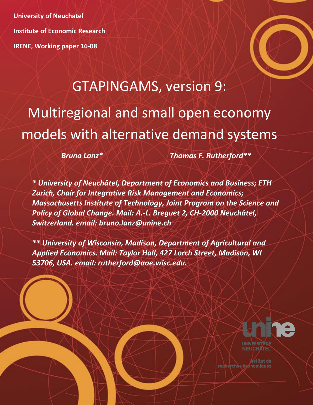**University of Neuchatel Institute of Economic Research IRENE, Working paper 16-08**

# GTAPINGAMS, version 9: Multiregional and small open economy models with alternative demand systems

*Bruno Lanz\* Thomas F. Rutherford\*\**

*\* University of Neuchâtel, Department of Economics and Business; ETH Zurich, Chair for Integrative Risk Management and Economics; Massachusetts Institute of Technology, Joint Program on the Science and Policy of Global Change. Mail: A.-L. Breguet 2, CH-2000 Neuchâtel, Switzerland. email: bruno.lanz@unine.ch*

*\*\* University of Wisconsin, Madison, Department of Agricultural and Applied Economics. Mail: Taylor Hall, 427 Lorch Street, Madison, WI 53706, USA. email: rutherford@aae.wisc.edu.*



**Institut de** recherches économiques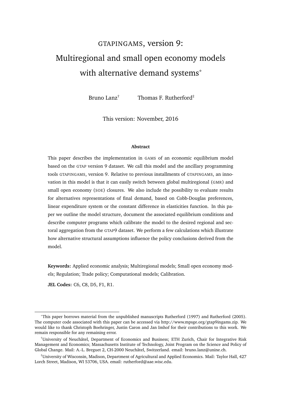# <span id="page-1-0"></span>GTAPINGAMS, version 9: Multiregional and small open economy models with alternative demand systems\*

Bruno Lanz<sup>†</sup> Thomas F. Rutherford<sup>‡</sup>

This version: November, 2016

#### **Abstract**

This paper describes the implementation in GAMS of an economic equilibrium model based on the GTAP version 9 dataset. We call this model and the ancillary programming tools GTAPINGAMS, version 9. Relative to previous installments of GTAPINGAMS, an innovation in this model is that it can easily switch between global multiregional (GMR) and small open economy (SOE) closures. We also include the possibility to evaluate results for alternatives representations of final demand, based on Cobb-Douglas preferences, linear expenditure system or the constant difference in elasticities function. In this paper we outline the model structure, document the associated equilibrium conditions and describe computer programs which calibrate the model to the desired regional and sectoral aggregation from the GTAP9 dataset. We perform a few calculations which illustrate how alternative structural assumptions influence the policy conclusions derived from the model.

**Keywords:** Applied economic analysis; Multiregional models; Small open economy models; Regulation; Trade policy; Computational models; Calibration.

**JEL Codes:** C6, C8, D5, F1, R1.

<sup>\*</sup>This paper borrows material from the unpublished manuscripts [Rutherford](#page-74-0) [\(1997\)](#page-74-0) and [Rutherford](#page-74-1) [\(2005\)](#page-74-1). The computer code associated with this paper can be accessed via [http://www.mpsge.org/gtap9ingams.zip.](http://www.mpsge.org/gtap9ingams.zip) We would like to thank Christoph Boehringer, Justin Caron and Jan Imhof for their contributions to this work. We remain responsible for any remaining error.

<sup>&</sup>lt;sup>†</sup>University of Neuchâtel, Department of Economics and Business; ETH Zurich, Chair for Integrative Risk Management and Economics; Massachusetts Institute of Technology, Joint Program on the Science and Policy of Global Change. Mail: A.-L. Breguet 2, CH-2000 Neuchâtel, Switzerland. email: [bruno.lanz@unine.ch.](mailto: bruno.lanz@unine.ch)

<sup>‡</sup>University of Wisconsin, Madison, Department of Agricultural and Applied Economics. Mail: Taylor Hall, 427 Lorch Street, Madison, WI 53706, USA. email: [rutherford@aae.wisc.edu.](mailto: rutherford@aae.wisc.edu)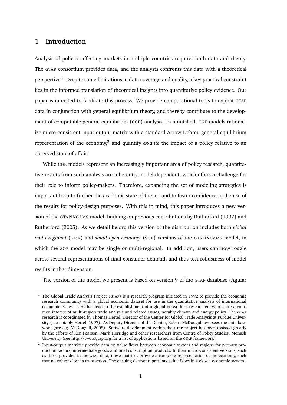# **1 Introduction**

Analysis of policies affecting markets in multiple countries requires both data and theory. The GTAP consortium provides data, and the analysts confronts this data with a theoretical perspective.[1](#page-2-0) Despite some limitations in data coverage and quality, a key practical constraint lies in the informed translation of theoretical insights into quantitative policy evidence. Our paper is intended to facilitate this process. We provide computational tools to exploit GTAP data in conjunction with general equilibrium theory, and thereby contribute to the development of computable general equilibrium (CGE) analysis. In a nutshell, CGE models rationalize micro-consistent input-output matrix with a standard Arrow-Debreu general equilibrium representation of the economy,<sup>[2](#page-2-1)</sup> and quantify *ex-ante* the impact of a policy relative to an observed state of affair.

While CGE models represent an increasingly important area of policy research, quantitative results from such analysis are inherently model-dependent, which offers a challenge for their role to inform policy-makers. Therefore, expanding the set of modeling strategies is important both to further the academic state-of-the-art and to foster confidence in the use of the results for policy-design purposes. With this in mind, this paper introduces a new version of the GTAPINGAMS model, building on previous contributions by [Rutherford](#page-74-0) [\(1997\)](#page-74-0) and [Rutherford](#page-74-1) [\(2005\)](#page-74-1). As we detail below, this version of the distribution includes both *global multi-regional* (GMR) and *small open economy* (SOE) versions of the GTAPINGAMS model, in which the SOE model may be single or multi-regional. In addition, users can now toggle across several representations of final consumer demand, and thus test robustness of model results in that dimension.

The version of the model we present is based on version 9 of the GTAP database [\(Aguiar](#page-73-0)

<span id="page-2-0"></span><sup>1</sup> The Global Trade Analysis Project (GTAP) is a research program initiated in 1992 to provide the economic research community with a global economic dataset for use in the quantitative analysis of international economic issues. GTAP has lead to the establishment of a global network of researchers who share a common interest of multi-region trade analysis and related issues, notably climate and energy policy. The GTAP [research is coordinated by Thomas Hertel, Director of the Center for Global Trade Analysis at Purdue Univer](#page-73-0)sity (see notably [Hertel,](#page-73-1) [1997\)](#page-73-1). As Deputy Director of this Center, Robert McDougall oversees the data base work (see e.g. [McDougall,](#page-74-2) [2005\)](#page-74-2). Software development within the GTAP project has been assisted greatly by the efforts of Ken Pearson, Mark Horridge and other researchers from Centre of Policy Studies, Monash University (see <http://www.gtap.org> for a list of applications based on the GTAP framework).

<span id="page-2-1"></span><sup>2</sup> [Input-output matrices provide data on value flows between economic sectors and regions for primary pro](#page-73-0)duction factors, intermediate goods and final consumption products. In their micro-consistent versions, such as those provided in the GTAP data, these matrices provide a complete representation of the economy, such that no value is lost in transaction. The ensuing dataset represents value flows in a closed economic system.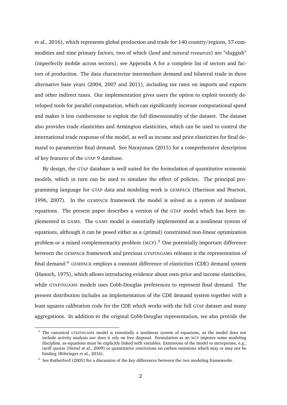[et al.,](#page-73-0) [2016\)](#page-73-0), which represents global production and trade for 140 country/regions, 57 commodities and nine primary factors, two of which (*land* and *natural resources*) are "sluggish" (imperfectly mobile across sectors); see [Appendix A](#page-46-0) for a complete list of sectors and factors of production. The data characterize intermediate demand and bilateral trade in three alternative base years (2004, 2007 and 2011), including tax rates on imports and exports and other indirect taxes. Our implementation gives users the option to exploit recently developed tools for parallel computation, which can significantly increase computational speed and makes it less cumbersome to exploit the full dimensionality of the dataset. The dataset also provides trade elasticities and Armington elasticities, which can be used to control the international trade response of the model, as well as income and price elasticities for final demand to parametrize final demand. See [Narayanan](#page-74-3) [\(2015\)](#page-74-3) for a comprehensive description of key features of the GTAP 9 database.

By design, the GTAP database is well suited for the formulation of quantitative economic models, which in turn can be used to simulate the effect of policies. The principal programming language for GTAP data and modeling work is GEMPACK [\(Harrison and Pearson,](#page-73-2) [1996,](#page-73-2) [2007\)](#page-73-3). In the GEMPACK framework the model is solved as a system of nonlinear equations. The present paper describes a version of the GTAP model which has been implemented in GAMS. The GAMS model is essentially implemented as a nonlinear system of equations, although it can be posed either as a (primal) constrained non-linear optimization problem or a mixed complementarity problem  $(MCP)$ .<sup>[3](#page-3-0)</sup> One potentially important difference between the GEMPACK framework and previous GTAPINGAMS releases is the representation of final demand:[4](#page-3-1) GEMPACK employs a constant difference of elasticities (CDE) demand system [\(Hanoch,](#page-73-4) [1975\)](#page-73-4), which allows introducing evidence about own-price and income elasticities, while GTAPINGAMS models uses Cobb-Douglas preferences to represent final demand. The present distribution includes an implementation of the CDE demand system together with a least squares calibration code for the CDE which works with the full GTAP dataset and many aggregations. In addition to the original Cobb-Douglas representation, we also provide the

<span id="page-3-0"></span> $3$  The canonical GTAPINGAMS model is essentially a nonlinear system of equations, as the model does not include activity analysis nor does it rely on free disposal. Formulation as an MCP imposes some modeling discipline, as equations must be explicitly linked with variables. Extensions of the model to incorporate, e.g., tariff quotas [\(Hertel et al.,](#page-73-5) [2009\)](#page-73-5) or quantitative restrictions on carbon emissions which may or may not be binding (Böhringer et al., [2016\)](#page-73-6).

<span id="page-3-1"></span><sup>&</sup>lt;sup>4</sup> See [Rutherford](#page-74-1) [\(2005\)](#page-74-1) for a discussion of the key differences between the two modeling frameworks.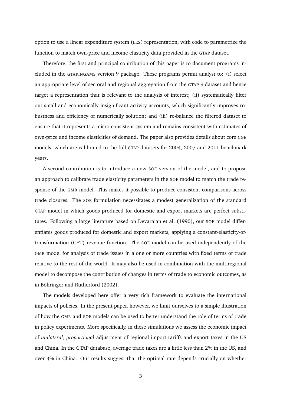option to use a linear expenditure system (LES) representation, with code to parametrize the function to match own-price and income elasticity data provided in the GTAP dataset.

Therefore, the first and principal contribution of this paper is to document programs included in the GTAPINGAMS version 9 package. These programs permit analyst to: (i) select an appropriate level of sectoral and regional aggregation from the GTAP 9 dataset and hence target a representation that is relevant to the analysis of interest; (ii) systematically filter out small and economically insignificant activity accounts, which significantly improves robustness and efficiency of numerically solution; and (iii) re-balance the filtered dataset to ensure that it represents a micro-consistent system and remains consistent with estimates of own-price and income elasticities of demand. The paper also provides details about core CGE models, which are calibrated to the full GTAP datasets for 2004, 2007 and 2011 benchmark years.

A second contribution is to introduce a new SOE version of the model, and to propose an approach to calibrate trade elasticity parameters in the SOE model to match the trade response of the GMR model. This makes it possible to produce consistent comparisons across trade closures. The SOE formulation necessitates a modest generalization of the standard GTAP model in which goods produced for domestic and export markets are perfect substi-tutes. Following a large literature based on [Devarajan et al.](#page-73-7) [\(1990\)](#page-73-7), our SOE model differentiates goods produced for domestic and export markets, applying a constant-elasticity-oftransformation (CET) revenue function. The SOE model can be used independently of the GMR model for analysis of trade issues in a one or more countries with fixed terms of trade relative to the rest of the world. It may also be used in combination with the multiregional model to decompose the contribution of changes in terms of trade to economic outcomes, as in Böhringer and Rutherford [\(2002\)](#page-73-8).

The models developed here offer a very rich framework to evaluate the international impacts of policies. In the present paper, however, we limit ourselves to a simple illustration of how the GMR and SOE models can be used to better understand the role of terms of trade in policy experiments. More specifically, in these simulations we assess the economic impact of *unilateral, proportional* adjustment of regional import tariffs and export taxes in the US and China. In the GTAP database, average trade taxes are a little less than 2% in the US, and over 4% in China. Our results suggest that the optimal rate depends crucially on whether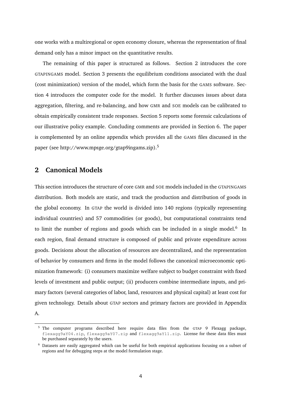one works with a multiregional or open economy closure, whereas the representation of final demand only has a minor impact on the quantitative results.

The remaining of this paper is structured as follows. Section [2](#page-5-0) introduces the core GTAPINGAMS model. Section [3](#page-18-0) presents the equilibrium conditions associated with the dual (cost minimization) version of the model, which form the basis for the GAMS software. Section [4](#page-28-0) introduces the computer code for the model. It further discusses issues about data aggregation, filtering, and re-balancing, and how GMR and SOE models can be calibrated to obtain empirically consistent trade responses. Section [5](#page-39-0) reports some forensic calculations of our illustrative policy example. Concluding comments are provided in Section [6.](#page-45-0) The paper is complemented by an online appendix which provides all the GAMS files discussed in the paper (see [http://www.mpsge.org/gtap9ingams.zip\)](http://www.mpsge.org/gtap9ingams.zip).[5](#page-5-1)

### <span id="page-5-0"></span>**2 Canonical Models**

This section introduces the structure of core GMR and SOE models included in the GTAPINGAMS distribution. Both models are static, and track the production and distribution of goods in the global economy. In GTAP the world is divided into 140 regions (typically representing individual countries) and 57 commodities (or goods), but computational constraints tend to limit the number of regions and goods which can be included in a single model.<sup>[6](#page-5-2)</sup> In each region, final demand structure is composed of public and private expenditure across goods. Decisions about the allocation of resources are decentralized, and the representation of behavior by consumers and firms in the model follows the canonical microeconomic optimization framework: (i) consumers maximize welfare subject to budget constraint with fixed levels of investment and public output; (ii) producers combine intermediate inputs, and primary factors (several categories of labor, land, resources and physical capital) at least cost for given technology. Details about GTAP sectors and primary factors are provided in [Appendix](#page-46-0)

[A.](#page-46-0)

<span id="page-5-1"></span> $5$  The computer programs described here require data files from the GTAP 9 Flexagg package, flexagg9aY04.zip, flexagg9aY07.zip and flexagg9aY11.zip. License for these data files must be purchased separately by the users.

<span id="page-5-2"></span><sup>6</sup> Datasets are easily aggregated which can be useful for both empirical applications focusing on a subset of regions and for debugging steps at the model formulation stage.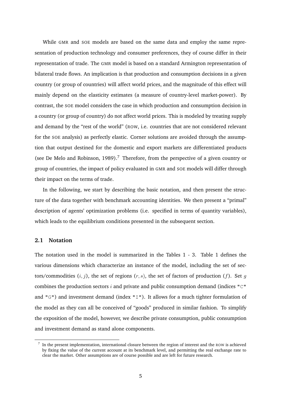While GMR and SOE models are based on the same data and employ the same representation of production technology and consumer preferences, they of course differ in their representation of trade. The GMR model is based on a standard Armington representation of bilateral trade flows. An implication is that production and consumption decisions in a given country (or group of countries) will affect world prices, and the magnitude of this effect will mainly depend on the elasticity estimates (a measure of country-level market-power). By contrast, the SOE model considers the case in which production and consumption decision in a country (or group of country) do not affect world prices. This is modeled by treating supply and demand by the "rest of the world" (ROW, i.e. countries that are not considered relevant for the SOE analysis) as perfectly elastic. Corner solutions are avoided through the assumption that output destined for the domestic and export markets are differentiated products (see [De Melo and Robinson,](#page-73-9) [1989\)](#page-73-9).<sup>[7](#page-6-0)</sup> Therefore, from the perspective of a given country or group of countries, the impact of policy evaluated in GMR and SOE models will differ through their impact on the terms of trade.

In the following, we start by describing the basic notation, and then present the structure of the data together with benchmark accounting identities. We then present a "primal" description of agents' optimization problems (i.e. specified in terms of quantity variables), which leads to the equilibrium conditions presented in the subsequent section.

#### **2.1 Notation**

The notation used in the model is summarized in the Tables [1](#page-7-0) - [3.](#page-8-0) Table [1](#page-7-0) defines the various dimensions which characterize an instance of the model, including the set of sectors/commodities  $(i, j)$ , the set of regions  $(r, s)$ , the set of factors of production  $(f)$ . Set g combines the production sectors  $i$  and private and public consumption demand (indices " $C$ " and " $G$ ") and investment demand (index " $I$ "). It allows for a much tighter formulation of the model as they can all be conceived of "goods" produced in similar fashion. To simplify the exposition of the model, however, we describe private consumption, public consumption and investment demand as stand alone components.

<span id="page-6-0"></span><sup>7</sup> In the present implementation, international closure between the region of interest and the ROW is achieved by fixing the value of the current account at its benchmark level, and permitting the real exchange rate to clear the market. Other assumptions are of course possible and are left for future research.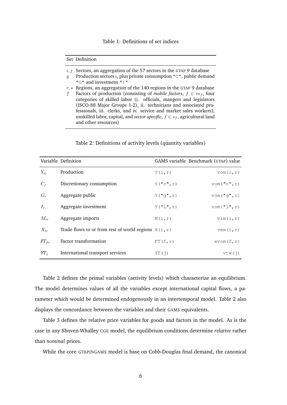#### Table 1: Definitions of set indices

#### <span id="page-7-0"></span>Set Definition

- $i, j$  Sectors, an aggregation of the 57 sectors in the GTAP 9 database
- q Production sectors i, plus private consumption " $C$ ", public demand "G" and investment "I"
- $r, s$  Regions, an aggregation of the 140 regions in the GTAP 9 database f Factors of production (consisting of *mobile factors*,  $f \in m_f$ , four categories of skilled labor (i. officials, mangers and legislators (ISCO-88 Major Groups 1-2), ii. technicians and associated professionals, iii. clerks, and iv. service and market sales workers), unskilled labor, capital, and *sector-specific*,  $f \in s_f$ , agricultural land and other resources)

#### Table 2: Definitions of activity levels (quantity variables)

<span id="page-7-1"></span>

|           | Variable Definition                                    |                        | GAMS variable Benchmark (GTAP) value |
|-----------|--------------------------------------------------------|------------------------|--------------------------------------|
| $Y_{ir}$  | Production                                             | Y(i,r)                 | $v$ om $(i, r)$                      |
| $C_r$     | Discretionary consumption                              | $Y(\mathbf{''c''}, r)$ | VOM("C", r)                          |
| $G_r$     | Aggregate public                                       | $Y(\mathbf{''q''}, r)$ | $v$ om("g", $r$ )                    |
| $I_r$     | Aggregate investment                                   | Y("i", r)              | $v$ om ("i", r)                      |
| $M_{ir}$  | Aggregate imports                                      | M(i,r)                 | vim(i,r)                             |
| $X_{ir}$  | Trade flows to or from rest of world regions $X(i, r)$ |                        | vem(i,r)                             |
| $FT_{fr}$ | Factor transformation                                  | FT(f,r)                | evom(f,r)                            |
| $YT_{i}$  | International transport services                       | YT(1)                  | vtw(i)                               |

Table [2](#page-7-1) defines the primal variables (activity levels) which characterize an equilibrium. The model determines values of all the variables except international capital flows, a parameter which would be determined endogenously in an intertemporal model. Table [2](#page-7-1) also displays the concordance between the variables and their GAMS equivalents.

Table [3](#page-8-0) defines the relative price variables for goods and factors in the model. As is the case in any Shoven-Whalley CGE model, the equilibrium conditions determine *relative* rather than *nominal* prices.

While the core GTAPINGAMS model is base on Cobb-Douglas final demand, the canonical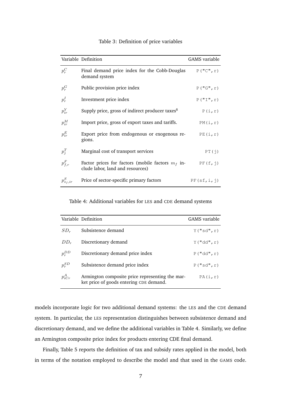<span id="page-8-0"></span>

|                | Variable Definition                                                                     | GAMS variable      |
|----------------|-----------------------------------------------------------------------------------------|--------------------|
| $p_r^C$        | Final demand price index for the Cobb-Douglas<br>demand system                          | $P(T^{\prime}, r)$ |
| $p_r^G$        | Public provision price index                                                            | P(TG'', r)         |
| $p_r^I$        | Investment price index                                                                  | P(TI'',r)          |
| $p_{ir}^Y$     | Supply price, gross of indirect producer taxes <sup>8</sup>                             | P(i,r)             |
| $p_{ir}^M$     | Import price, gross of export taxes and tariffs.                                        | PM(i, r)           |
| $p_{ir}^E$     | Export price from endogenous or exogenous re-<br>gions.                                 | PE(i,r)            |
| $p_i^T$        | Marginal cost of transport services                                                     | PT(j)              |
| $p_{f,r}^F$    | Factor prices for factors (mobile factors $m_f$ in-<br>clude labor, land and resources) | PF(f,j)            |
| $p_{s_f,ir}^S$ | Price of sector-specific primary factors                                                | PF(sf,i,j)         |

#### Table 3: Definition of price variables

Table 4: Additional variables for LES and CDE demand systems

<span id="page-8-1"></span>

|             | Variable Definition                                                                        | GAMS variable |
|-------------|--------------------------------------------------------------------------------------------|---------------|
| $SD_r$      | Subsistence demand                                                                         | Y("sd", r)    |
| $DD_r$      | Discretionary demand                                                                       | Y("dd", r)    |
| $p_r^{DD}$  | Discretionary demand price index                                                           | P("dd", r)    |
| $p_r^{SD}$  | Subsistence demand price index                                                             | P("sd", r)    |
| $p_{iCr}^A$ | Armington composite price representing the mar-<br>ket price of goods entering CDE demand. | PA(i, r)      |

models incorporate logic for two additional demand systems: the LES and the CDE demand system. In particular, the LES representation distinguishes between subsistence demand and discretionary demand, and we define the additional variables in Table [4.](#page-8-1) Similarly, we define an Armington composite price index for products entering CDE final demand.

Finally, Table [5](#page-9-0) reports the definition of tax and subsidy rates applied in the model, both in terms of the notation employed to describe the model and that used in the GAMS code.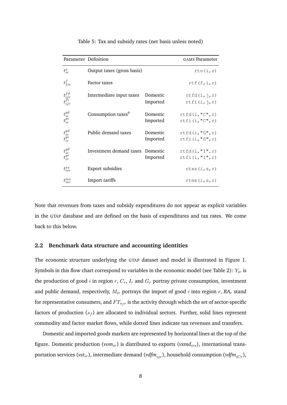<span id="page-9-0"></span>

| Parameter Definition             |                                  |                      | <b>GAMS</b> Parameter              |
|----------------------------------|----------------------------------|----------------------|------------------------------------|
| $t_{ir}^o$                       | Output taxes (gross basis)       |                      | rto(i,r)                           |
| $t_{fir}^f$                      | Factor taxes                     |                      | rtf(f,i,r)                         |
| $t_{ijr}^{fd}$<br>$t_{ijr}^{fi}$ | Intermediate input taxes         | Domestic<br>Imported | rtfd(i, j, r)<br>rtfi(i,j,r)       |
| $t^{pd}_{ir}_{ir} \nonumber$     | Consumption taxes <sup>9</sup>   | Domestic<br>Imported | rtfd(i, "C", r)<br>rtfi(i, "C", r) |
| $t^{gd}_{ir}_{ir} \nonumber$     | Public demand taxes              | Domestic<br>Imported | rtfd(i, "G", r)<br>rtfi(i, "G", r) |
| $t^{gd}_{ir}_{ir} \nonumber$     | Investment demand taxes Domestic | Imported             | rtfd(i, "I", r)<br>rtfi(i, "I", r) |
| $t_{isr}^{xs}$                   | Export subsidies                 |                      | rtxs(i,s,r)                        |
| $t_{isr}^{\mathit{ms}}$          | Import tariffs                   |                      | rtms(i,s,r)                        |

Table 5: Tax and subsidy rates (net basis unless noted)

Note that revenues from taxes and subsidy expenditures do not appear as explicit variables in the GTAP database and are defined on the basis of expenditures and tax rates. We come back to this below.

#### **2.2 Benchmark data structure and accounting identities**

The economic structure underlying the GTAP dataset and model is illustrated in Figure [1.](#page-10-0) Symbols in this flow chart correspond to variables in the economic model (see Table [2\)](#page-7-1):  $Y_{ir}$  is the production of good *i* in region  $r$ ,  $C_r$ ,  $I_r$  and  $G_r$  portray private consumption, investment and public demand, respectively,  $M_{ir}$  portrays the import of good  $i$  into region  $r$ ,  $RA_r$  stand for representative consumers, and  $FT_{sfr}$  is the activity through which the set of sector-specific factors of production  $(s_f)$  are allocated to individual sectors. Further, solid lines represent commodity and factor market flows, while dotted lines indicate tax revenues and transfers.

Domestic and imported goods markets are represented by horizontal lines at the top of the figure. Domestic production (vom<sub>ir</sub>) is distributed to exports (vxmd<sub>irs</sub>), international transportation services ( $vst_{ir}$ ), intermediate demand ( $vdfm_{ir}$ ), household consumption ( $vdfm_{iCr}$ ),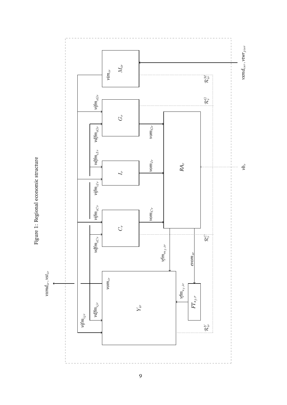<span id="page-10-0"></span>

Figure 1: Regional economic structure Figure 1: Regional economic structure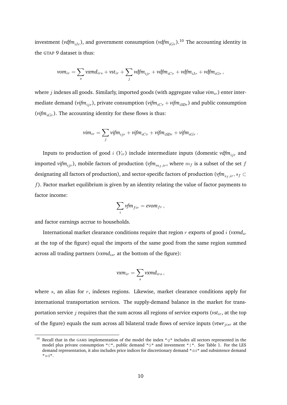investment (*vdfm*<sub>iIr</sub>), and government consumption (*vdfm*<sub>iCr</sub>).<sup>[10](#page-11-0)</sup> The accounting identity in the GTAP 9 dataset is thus:

$$
vom_{ir} = \sum_{s} vxmd_{irs} + vst_{ir} + \sum_{j} vdfm_{ijr} + vdfm_{iCr} + vdfm_{iIr} + vdfm_{iGr},
$$

where  $j$  indexes all goods. Similarly, imported goods (with aggregate value  $vim_{ir}$ ) enter intermediate demand (*vifm<sub>ijr</sub>*), private consumption (*vifm<sub>iCr</sub>* + *vifm<sub>iSDr</sub>*) and public consumption ( $vifm_{iGr}$ ). The accounting identity for these flows is thus:

$$
vim_{ir} = \sum_j vifm_{ijr} + vifm_{iCr} + vifm_{iSDr} + vifm_{iGr}.
$$

Inputs to production of good  $i$  ( $Y_{ir}$ ) include intermediate inputs (domestic  $\nu dfm_{ijr}$  and imported *vifm*<sub>iir</sub>), mobile factors of production (*vfm*<sub>m<sub>t,ir</sub>, where  $m_f$  is a subset of the set f</sub> designating all factors of production), and sector-specific factors of production ( $vfm_{s_f,ir}$ ,  $s_f \subset$  $f$ ). Factor market equilibrium is given by an identity relating the value of factor payments to factor income:

$$
\sum_i v f m_{fir} = \text{evom}_{fr} \,,
$$

and factor earnings accrue to households.

International market clearance conditions require that region  $r$  exports of good  $i$  ( $v$ xmd<sub>ir</sub>) at the top of the figure) equal the imports of the same good from the same region summed across all trading partners (*vxmd<sub>isr</sub>* at the bottom of the figure):

$$
\textit{vxm}_{ir} = \sum_s \textit{vxmd}_{irs}\,,
$$

where  $s$ , an alias for  $r$ , indexes regions. Likewise, market clearance conditions apply for international transportation services. The supply-demand balance in the market for transportation service  $j$  requires that the sum across all regions of service exports ( $vst<sub>ir</sub>$ , at the top of the figure) equals the sum across all bilateral trade flows of service inputs (*vtwr*<sub>jisr</sub> at the

<span id="page-11-0"></span><sup>&</sup>lt;sup>10</sup> Recall that in the GAMS implementation of the model the index "g" includes all sectors represented in the model plus private consumption "C", public demand "G" and investment "I". See Table [1.](#page-7-0) For the LES demand representation, it also includes price indices for discretionary demand "dd" and subsistence demand "sd".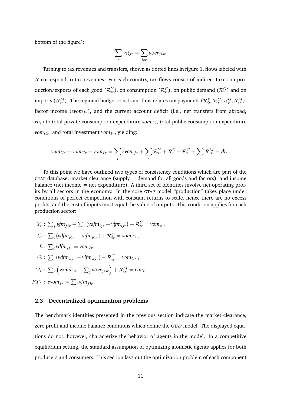bottom of the figure):

$$
\sum_{r} vst_{jr} = \sum_{isr} vtwr_{jisr}
$$

Turning to tax revenues and transfers, shown as dotted lines in figure [1,](#page-10-0) flows labeled with R correspond to tax revenues. For each country, tax flows consist of indirect taxes on production/exports of each good  $(\mathcal{R}_{ir}^Y)$ , on consumption  $(\mathcal{R}_r^C)$ , on public demand  $(\mathcal{R}_r^G)$  and on imports ( $\mathcal{R}_{ir}^M$ ). The regional budget constraint thus relates tax payments ( $\mathcal{R}_{ir}^Y, \mathcal{R}_r^C, \mathcal{R}_{ir}^G, \mathcal{R}_{ir}^M$ ), factor income ( $evom_{fr}$ ), and the current account deficit (i.e., net transfers from abroad,  $vb<sub>r</sub>$ ) to total private consumption expenditure  $vom<sub>Cr</sub>$ , total public consumption expenditure  $vom_{Gr}$ , and total investment  $vom_{Ir}$ , yielding:

$$
vom_{Cr} + vom_{Gr} + vom_{Ir} = \sum_{f} evom_{fr} + \sum_{i} \mathcal{R}_{ir}^{Y} + \mathcal{R}_{r}^{C} + \mathcal{R}_{r}^{G} + \sum_{i} \mathcal{R}_{ir}^{M} + vb_{r}.
$$

To this point we have outlined two types of consistency conditions which are part of the GTAP database: market clearance (supply  $=$  demand for all goods and factors), and income balance (net income = net expenditure). A third set of identities involve net operating profits by all sectors in the economy. In the core GTAP model "production" takes place under conditions of perfect competition with constant returns to scale, hence there are no excess profits, and the cost of inputs must equal the value of outputs. This condition applies for each production sector:

$$
Y_{ir}: \sum_{f} v f m_{fir} + \sum_{j} (v df m_{ijr} + v if m_{ijr}) + \mathcal{R}_{ir}^{Y} = v o m_{ir},
$$
  
\n
$$
C_{r}: \sum_{i} (v df m_{iCr} + v if m_{iCr}) + \mathcal{R}_{ir}^{C} = v o m_{Cr},
$$
  
\n
$$
I_{r}: \sum_{i} v df m_{iIr} = v o m_{Ir}
$$
  
\n
$$
G_{r}: \sum_{i} (v df m_{iGr} + v if m_{iGr}) + \mathcal{R}_{ir}^{G} = v o m_{Gr},
$$
  
\n
$$
M_{ir}: \sum_{s} (v x m d_{isr} + \sum_{j} v tw r_{jisr}) + \mathcal{R}_{ir}^{M} = v im_{ir}
$$
  
\n
$$
FT_{fr}: \text{ev}om_{fr} = \sum_{i} v fm_{fir}
$$

#### **2.3 Decentralized optimization problems**

The benchmark identities presented in the previous section indicate the market clearance, zero profit and income balance conditions which define the GTAP model. The displayed equations do not, however, characterize the behavior of agents in the model. In a competitive equilibrium setting, the standard assumption of optimizing atomistic agents applies for both producers and consumers. This section lays out the optimization problem of each component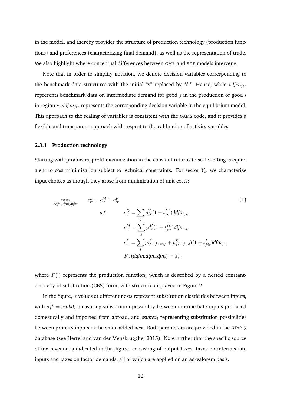in the model, and thereby provides the structure of production technology (production functions) and preferences (characterizing final demand), as well as the representation of trade. We also highlight where conceptual differences between GMR and SOE models intervene.

Note that in order to simplify notation, we denote decision variables corresponding to the benchmark data structures with the initial "v" replaced by "d." Hence, while  $vdfm_{ijr}$ represents benchmark data on intermediate demand for good  $j$  in the production of good  $i$ in region  $r$ ,  $ddfm_{\text{vir}}$  represents the corresponding decision variable in the equilibrium model. This approach to the scaling of variables is consistent with the GAMS code, and it provides a flexible and transparent approach with respect to the calibration of activity variables.

#### **2.3.1 Production technology**

Starting with producers, profit maximization in the constant returns to scale setting is equivalent to cost minimization subject to technical constraints. For sector  $Y_{ir}$  we characterize input choices as though they arose from minimization of unit costs:

<span id="page-13-0"></span>
$$
\min_{\text{ddfm}, \text{dfm}, \text{dism}} \quad c_{ir}^D + c_{ir}^M + c_{ir}^F
$$
\n
$$
s.t. \quad c_{ir}^D = \sum_j p_{jr}^Y (1 + t_{jir}^{fd}) \text{ddfm}_{jir}
$$
\n
$$
c_{ir}^M = \sum_j p_{jr}^M (1 + t_{jir}^{fi}) \text{difm}_{jir}
$$
\n
$$
c_{ir}^F = \sum_j (p_{jr}^F |_{f \in m_f} + p_{fir}^S |_{f \in S}) (1 + t_{fir}^f) \text{dfm}_{fir}
$$
\n
$$
F_{ir}(\text{ddfm}, \text{dfm}, \text{dfm}) = Y_{ir}
$$
\n(1)

where  $F(\cdot)$  represents the production function, which is described by a nested constantelasticity-of-substitution (CES) form, with structure displayed in Figure [2.](#page-14-0)

In the figure,  $\sigma$  values at different nests represent substitution elasticities between inputs, with  $\sigma_i^D = \text{esubd}_i$  measuring substitution possibility between intermediate inputs produced domestically and imported from abroad, and *esubva*<sup>i</sup> representing substitution possibilities between primary inputs in the value added nest. Both parameters are provided in the GTAP 9 database (see [Hertel and van der Mensbrugghe,](#page-73-10) [2015\)](#page-73-10). Note further that the specific source of tax revenue is indicated in this figure, consisting of output taxes, taxes on intermediate inputs and taxes on factor demands, all of which are applied on an ad-valorem basis.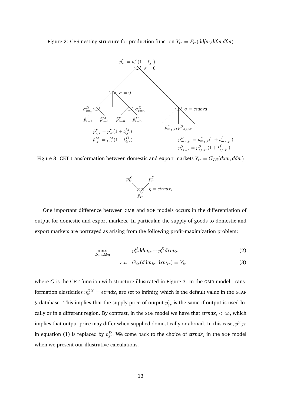<span id="page-14-0"></span>Figure 2: CES nesting structure for production function  $Y_{ir} = F_{ir}(ddfm,dfm,dfm)$ 



<span id="page-14-1"></span>Figure 3: CET transformation between domestic and export markets  $Y_{ir} = G_{IR}(dxm, ddm)$ 



One important difference between GMR and SOE models occurs in the differentiation of output for domestic and export markets. In particular, the supply of goods to domestic and export markets are portrayed as arising from the following profit-maximization problem:

$$
\max_{d\mathbf{x}m, ddm} \qquad \qquad p_{ir}^D ddm_{ir} + p_{ir}^X d\mathbf{x}m_{ir} \qquad \qquad (2)
$$

$$
s.t. \quad G_{ir}(ddm_{ir}, dxm_{ir}) = Y_{ir} \tag{3}
$$

where  $G$  is the CET function with structure illustrated in Figure [3.](#page-14-1) In the GMR model, transformation elasticities  $\eta_{ir}^{DX} = \text{etrnd}x_i$  are set to infinity, which is the default value in the GTAP 9 database. This implies that the supply price of output  $p_{jr}^Y$  is the same if output is used locally or in a different region. By contrast, in the SOE model we have that  $\textit{etrndx}_i < \infty$ , which implies that output price may differ when supplied domestically or abroad. In this case,  $p^Y j r$ in equation [\(1\)](#page-13-0) is replaced by  $p_{jr}^D$ . We come back to the choice of *etrndx<sub>i</sub>* in the SOE model when we present our illustrative calculations.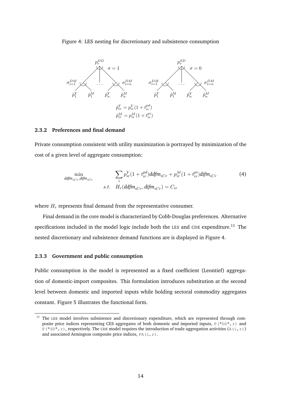#### <span id="page-15-1"></span>Figure 4: LES nesting for discretionary and subsistence consumption



#### **2.3.2 Preferences and final demand**

Private consumption consistent with utility maximization is portrayed by minimization of the cost of a given level of aggregate consumption:

$$
\min_{\text{ddfm}_{iCr}, \text{difm}_{iCr}} \qquad \qquad \sum_{i} p_{ir}^{Y} (1 + t_{ir}^{pd}) \text{ddfm}_{iCr} + p_{ir}^{M} (1 + t_{ir}^{pi}) \text{difm}_{iCr} \qquad \qquad (4)
$$
\n
$$
s.t. \quad H_r(\text{ddfm}_{iCr}, \text{difm}_{iCr}) = C_{ir}
$$

where  $H_r$  represents final demand from the representative consumer.

Final demand in the core model is characterized by Cobb-Douglas preferences. Alternative specifications included in the model logic include both the LES and CDE expenditure.<sup>[11](#page-15-0)</sup> The nested discretionary and subsistence demand functions are is displayed in Figure [4.](#page-15-1)

#### **2.3.3 Government and public consumption**

Public consumption in the model is represented as a fixed coefficient (Leontief) aggregation of domestic-import composites. This formulation introduces substitution at the second level between domestic and imported inputs while holding sectoral commodity aggregates constant. Figure [5](#page-16-0) illustrates the functional form.

<span id="page-15-0"></span><sup>&</sup>lt;sup>11</sup> The LES model involves subsistence and discretionary expenditure, which are represented through composite price indices representing CES aggregates of both domestic and imported inputs, P("DD", r) and  $P("SD", r)$ , respectively. The CDE model requires the introduction of trade aggregation activities (A(i,r)) and associated Armington composite price indices,  $PA(i, r)$ .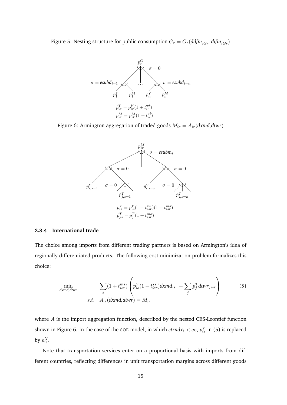<span id="page-16-0"></span>Figure 5: Nesting structure for public consumption  $G_r = G_r(ddfm_{iGr},difm_{iGr})$ 



<span id="page-16-1"></span>Figure 6: Armington aggregation of traded goods  $M_{ir} = A_{ir}(dxmd, dtwr)$ 



#### **2.3.4 International trade**

The choice among imports from different trading partners is based on Armington's idea of regionally differentiated products. The following cost minimization problem formalizes this choice:

<span id="page-16-2"></span>
$$
\min_{\text{dxdnd,divr}} \sum_{s} (1 + t_{isr}^{ms}) \left( p_{is}^{Y} (1 - t_{isr}^{xs}) \text{d}x m d_{isr} + \sum_{j} p_{j}^{T} \text{d}t w r_{jisr} \right)
$$
(5)

where A is the import aggregation function, described by the nested CES-Leontief function shown in Figure [6.](#page-16-1) In the case of the SOE model, in which  $\textit{etrndx}_i < \infty$ ,  $p_{is}^Y$  in [\(5\)](#page-16-2) is replaced by  $p_{is}^X$ .

Note that transportation services enter on a proportional basis with imports from different countries, reflecting differences in unit transportation margins across different goods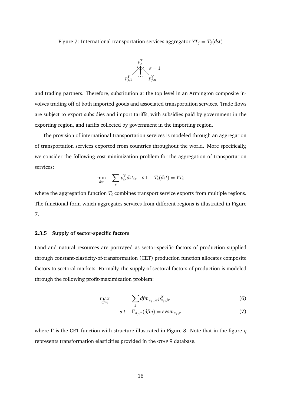<span id="page-17-0"></span>Figure 7: International transportation services aggregator  $YT_j = T_j (dst)$ 



and trading partners. Therefore, substitution at the top level in an Armington composite involves trading off of both imported goods and associated transportation services. Trade flows are subject to export subsidies and import tariffs, with subsidies paid by government in the exporting region, and tariffs collected by government in the importing region.

The provision of international transportation services is modeled through an aggregation of transportation services exported from countries throughout the world. More specifically, we consider the following cost minimization problem for the aggregation of transportation services:

$$
\min_{dst} \sum_{r} p_{ir}^{Y} dst_{ir} \quad \text{s.t.} \quad T_i(dst) = YT_i
$$

where the aggregation function  $T_i$  combines transport service exports from multiple regions. The functional form which aggregates services from different regions is illustrated in Figure [7.](#page-17-0)

#### **2.3.5 Supply of sector-specific factors**

Land and natural resources are portrayed as sector-specific factors of production supplied through constant-elasticity-of-transformation (CET) production function allocates composite factors to sectoral markets. Formally, the supply of sectoral factors of production is modeled through the following profit-maximization problem:

$$
\max_{\text{dfm}} \qquad \qquad \sum_{j} \text{dfm}_{s_f,jr} p_{s_f,jr}^S \tag{6}
$$

$$
s.t. \Gamma_{s_f,r}(dfm) = evom_{s_f,r} \tag{7}
$$

where  $\Gamma$  is the CET function with structure illustrated in Figure [8.](#page-18-1) Note that in the figure  $\eta$ represents transformation elasticities provided in the GTAP 9 database.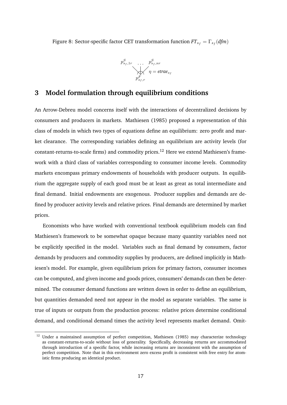<span id="page-18-1"></span>Figure 8: Sector-specific factor CET transformation function  $FT_{s_f} = \Gamma_{s_f} (dfm)$ 

$$
p_{s_f,1r}^S \dots p_{s_f,nr}^S
$$
  
\n
$$
\sqrt{\gamma} = \text{etrae}_{s_f}
$$
  
\n
$$
p_{s_f,r}^F
$$

# <span id="page-18-0"></span>**3 Model formulation through equilibrium conditions**

An Arrow-Debreu model concerns itself with the interactions of decentralized decisions by consumers and producers in markets. [Mathiesen](#page-74-4) [\(1985\)](#page-74-4) proposed a representation of this class of models in which two types of equations define an equilibrium: zero profit and market clearance. The corresponding variables defining an equilibrium are activity levels (for constant-returns-to-scale firms) and commodity prices.[12](#page-18-2) Here we extend Mathiesen's framework with a third class of variables corresponding to consumer income levels. Commodity markets encompass primary endowments of households with producer outputs. In equilibrium the aggregate supply of each good must be at least as great as total intermediate and final demand. Initial endowments are exogenous. Producer supplies and demands are defined by producer activity levels and relative prices. Final demands are determined by market prices.

Economists who have worked with conventional textbook equilibrium models can find Mathiesen's framework to be somewhat opaque because many quantity variables need not be explicitly specified in the model. Variables such as final demand by consumers, factor demands by producers and commodity supplies by producers, are defined implicitly in Mathiesen's model. For example, given equilibrium prices for primary factors, consumer incomes can be computed, and given income and goods prices, consumers' demands can then be determined. The consumer demand functions are written down in order to define an equilibrium, but quantities demanded need not appear in the model as separate variables. The same is true of inputs or outputs from the production process: relative prices determine conditional demand, and conditional demand times the activity level represents market demand. Omit-

<span id="page-18-2"></span><sup>&</sup>lt;sup>12</sup> Under a maintained assumption of perfect competition, [Mathiesen](#page-74-4) [\(1985\)](#page-74-4) may characterize technology as constant-returns-to-scale without loss of generality. Specifically, decreasing returns are accommodated through introduction of a specific factor, while increasing returns are inconsistent with the assumption of perfect competition. Note that in this environment zero excess profit is consistent with free entry for atomistic firms producing an identical product.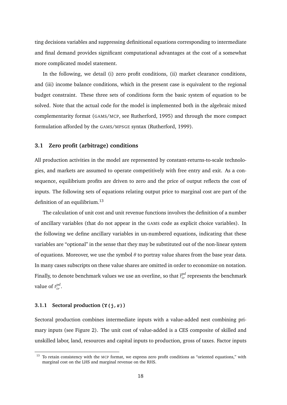ting decisions variables and suppressing definitional equations corresponding to intermediate and final demand provides significant computational advantages at the cost of a somewhat more complicated model statement.

In the following, we detail (i) zero profit conditions, (ii) market clearance conditions, and (iii) income balance conditions, which in the present case is equivalent to the regional budget constraint. These three sets of conditions form the basic system of equation to be solved. Note that the actual code for the model is implemented both in the algebraic mixed complementarity format (GAMS/MCP, see [Rutherford,](#page-74-5) [1995\)](#page-74-5) and through the more compact formulation afforded by the GAMS/MPSGE syntax [\(Rutherford,](#page-74-6) [1999\)](#page-74-6).

#### **3.1 Zero profit (arbitrage) conditions**

All production activities in the model are represented by constant-returns-to-scale technologies, and markets are assumed to operate competitively with free entry and exit. As a consequence, equilibrium profits are driven to zero and the price of output reflects the cost of inputs. The following sets of equations relating output price to marginal cost are part of the definition of an equilibrium.<sup>[13](#page-19-0)</sup>

The calculation of unit cost and unit revenue functions involves the definition of a number of ancillary variables (that do not appear in the GAMS code as explicit choice variables). In the following we define ancillary variables in un-numbered equations, indicating that these variables are "optional" in the sense that they may be substituted out of the non-linear system of equations. Moreover, we use the symbol  $\theta$  to portray value shares from the base year data. In many cases subscripts on these value shares are omitted in order to economize on notation. Finally, to denote benchmark values we use an overline, so that  $\bar{t}^{pd}_{ir}$  represents the benchmark value of  $t_{ir}^{pd}$ .

#### **3.1.1 Sectoral production (Y(j,r))**

Sectoral production combines intermediate inputs with a value-added nest combining primary inputs (see Figure [2\)](#page-14-0). The unit cost of value-added is a CES composite of skilled and unskilled labor, land, resources and capital inputs to production, gross of taxes. Factor inputs

<span id="page-19-0"></span><sup>13</sup> To retain consistency with the MCP format, we express zero profit conditions as "oriented equations," with marginal cost on the LHS and marginal revenue on the RHS.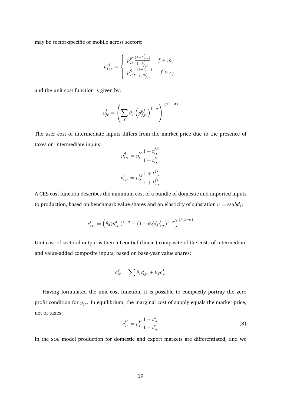may be sector-specific or mobile across sectors:

$$
p^{pf}_{fjr} = \left\{ \begin{array}{ll} p^{F}_{fr} \frac{(1+t^{f}_{fjr})}{1+\bar{t}^{f}_{fjr}} & f \in m_f \\ p^{S}_{fjr} \frac{(1+t^{f}_{fjr})}{1+\bar{t}^{f}_{fjr}} & f \in s_f \end{array} \right.
$$

and the unit cost function is given by:

$$
c_{jr}^f = \left(\sum_f \theta_f \left(p_{fjr}^{pf}\right)^{1-\sigma}\right)^{1/(1-\sigma)}
$$

The user cost of intermediate inputs differs from the market price due to the presence of taxes on intermediate inputs:  $f \overline{d}$ 

$$
p_{ijr}^d = p_{ir}^Y \frac{1 + t_{ijr}^{Ia}}{1 + \overline{t}_{ijr}^{fd}}
$$

$$
p_{ijr}^i = p_{ir}^M \frac{1 + t_{ijr}^{fi}}{1 + \overline{t}_{ijr}^{fi}}
$$

A CES cost function describes the minimum cost of a bundle of domestic and imported inputs to production, based on benchmark value shares and an elasticity of substation  $\sigma = \text{esubd}_i$ :

$$
c_{ijr}^{i} = \left(\theta_d (p_{ijr}^d)^{1-\sigma} + (1-\theta_d)(p_{ijr}^i)^{1-\sigma}\right)^{1/(1-\sigma)}
$$

Unit cost of sectoral output is then a Leontief (linear) composite of the costs of intermediate and value-added composite inputs, based on base-year value shares:

$$
c_{jr}^Y = \sum_i \theta_i c_{ijr}^i + \theta_f c_{jr}^f
$$

Having formulated the unit cost function, it is possible to compactly portray the zero profit condition for  $y_{jr}$ . In equilibrium, the marginal cost of supply equals the market price, net of taxes:

$$
c_{jr}^Y = p_{jr}^Y \frac{1 - t_{jr}^o}{1 - \bar{t}_{jr}^o}
$$
 (8)

In the SOE model production for domestic and export markets are differentiated, and we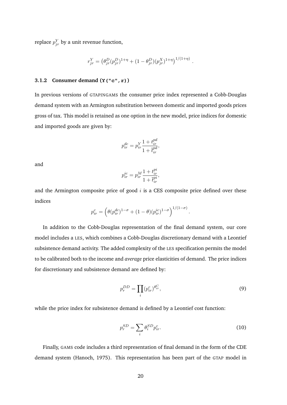replace  $p_{jr}^Y$  by a unit revenue function,

$$
r_{jr}^Y = (\theta_{jr}^D (p_{jr}^D)^{1+\eta} + (1 - \theta_{jr}^D) (p_{jr}^X)^{1+\eta})^{1/(1+\eta)}.
$$

#### **3.1.2 Consumer demand (Y("c",r))**

In previous versions of GTAPINGAMS the consumer price index represented a Cobb-Douglas demand system with an Armington substitution between domestic and imported goods prices gross of tax. This model is retained as one option in the new model, price indices for domestic and imported goods are given by:

$$
p_{ir}^{dc} = p_{ir}^{Y} \frac{1 + t_{ir}^{pd}}{1 + \overline{t_{ir}^{pd}}},
$$

and

$$
p_{ir}^{ic} = p_{ir}^M \frac{1 + t_{ir}^{pi}}{1 + \overline{t_{ir}^{pi}}},
$$

and the Armington composite price of good  $i$  is a CES composite price defined over these indices

$$
p_{ir}^c = \left(\theta(p_{ir}^{dc})^{1-\sigma} + (1-\theta)(p_{ir}^{ic})^{1-\sigma}\right)^{1/(1-\sigma)}.
$$

In addition to the Cobb-Douglas representation of the final demand system, our core model includes a LES, which combines a Cobb-Douglas discretionary demand with a Leontief subsistence demand activity. The added complexity of the LES specification permits the model to be calibrated both to the income and *average* price elasticities of demand. The price indices for discretionary and subsistence demand are defined by:

$$
p_r^{DD} = \prod_i (p_{ir}^c)^{\theta_{ir}^C},\tag{9}
$$

while the price index for subsistence demand is defined by a Leontief cost function:

$$
p_r^{SD} = \sum_i \theta_i^{SD} p_{ir}^c.
$$
 (10)

Finally, GAMS code includes a third representation of final demand in the form of the CDE demand system [\(Hanoch,](#page-73-4) [1975\)](#page-73-4). This representation has been part of the GTAP model in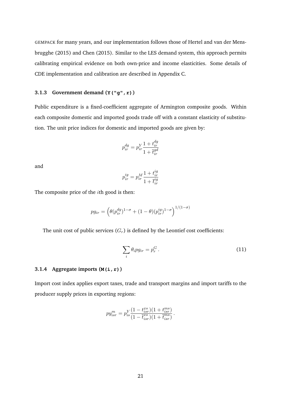GEMPACK for many years, and our implementation follows those of [Hertel and van der Mens](#page-73-10)[brugghe](#page-73-10) [\(2015\)](#page-73-10) and [Chen](#page-73-11) [\(2015\)](#page-73-11). Similar to the LES demand system, this approach permits calibrating empirical evidence on both own-price and income elasticities. Some details of CDE implementation and calibration are described in [Appendix C.](#page-49-0)

#### **3.1.3 Government demand (Y("g",r))**

Public expenditure is a fixed-coefficient aggregate of Armington composite goods. Within each composite domestic and imported goods trade off with a constant elasticity of substitution. The unit price indices for domestic and imported goods are given by:

$$
p_{ir}^{dg} = p_{ir}^{Y} \frac{1 + t_{ir}^{dg}}{1 + \overline{t}_{ir}^{gd}}
$$

and

$$
p_{ir}^{ig} = p_{ir}^M \frac{1 + t_{ir}^{ig}}{1 + \overline{t}_{ir}^{ig}}
$$

The composite price of the ith good is then:

$$
pg_{ir} = \left(\theta(p_{ir}^{dg})^{1-\sigma} + (1-\theta)(p_{ir}^{ig})^{1-\sigma}\right)^{1/(1-\sigma)}
$$

The unit cost of public services  $(G_r)$  is defined by the Leontief cost coefficients:

$$
\sum_{i} \theta_{i} p g_{ir} = p_r^G \,. \tag{11}
$$

#### **3.1.4 Aggregate imports (M(i,r))**

Import cost index applies export taxes, trade and transport margins and import tariffs to the producer supply prices in exporting regions:

$$
py_{isr}^m = p_{is}^Y \frac{(1 - t_{isr}^{xs})(1 + t_{isr}^{ms})}{(1 - \overline{t}_{isr}^{xs})(1 + \overline{t}_{isr}^{ms})}.
$$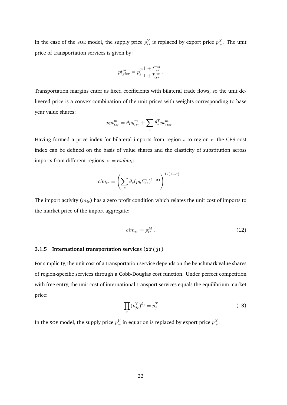In the case of the soe model, the supply price  $p_{is}^Y$  is replaced by export price  $p_{is}^X$ . The unit price of transportation services is given by:

$$
pt_{jisr}^m=p_j^T\frac{1+t_{isr}^{ms}}{1+\overline{t}_{isr}^{ms}}\,.
$$

Transportation margins enter as fixed coefficients with bilateral trade flows, so the unit delivered price is a convex combination of the unit prices with weights corresponding to base year value shares:

$$
pyt_{isr}^m = \theta py_{isr}^m + \sum_j \theta_j^T pt_{jisr}^m.
$$

Having formed a price index for bilateral imports from region  $s$  to region  $r$ , the CES cost index can be defined on the basis of value shares and the elasticity of substitution across imports from different regions,  $\sigma = \varepsilon \sinh i$ :

$$
cim_{ir} = \left(\sum_{s} \theta_{s}(pyt_{isr}^{m})^{1-\sigma}\right)^{1/(1-\sigma)}.
$$

The import activity  $(m_{ir})$  has a zero profit condition which relates the unit cost of imports to the market price of the import aggregate:

$$
cim_{ir} = p_{ir}^M \tag{12}
$$

#### **3.1.5 International transportation services (YT(j))**

For simplicity, the unit cost of a transportation service depends on the benchmark value shares of region-specific services through a Cobb-Douglas cost function. Under perfect competition with free entry, the unit cost of international transport services equals the equilibrium market price:

$$
\prod_{r} (p_{jr}^Y)^{\theta_j} = p_j^T \tag{13}
$$

In the SOE model, the supply price  $p_{is}^Y$  in equation is replaced by export price  $p_{is}^X$ .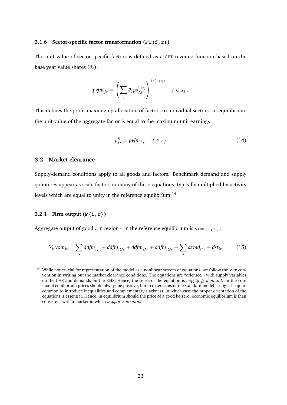#### **3.1.6 Sector-specific factor transformation (FT(f,r))**

The unit value of sector-specific factors is defined as a CET revenue function based on the base year value shares  $(\theta_i)$ :

$$
pyfm_{fr} = \left(\sum_j \theta_j ps_{fjr}^{1+\eta}\right)^{1/(1+\eta)} \qquad f \in s_f.
$$

This defines the profit-maximizing allocation of factors to individual sectors. In equilibrium, the unit value of the aggregate factor is equal to the maximum unit earnings:

$$
p_{fr}^S = p\mathit{vfm}_{fjr} \quad f \in s_f \tag{14}
$$

#### **3.2 Market clearance**

Supply-demand conditions apply to all goods and factors. Benchmark demand and supply quantities appear as scale factors in many of these equations, typically multiplied by activity levels which are equal to unity in the reference equilibrium.<sup>[14](#page-24-0)</sup>

#### **3.2.1 Firm output (P(i,r))**

Aggregate output of good i in region r in the reference equilibrium is vom  $(i, r)$ :

<span id="page-24-1"></span>
$$
Y_{ir}vom_{ir} = \sum_{j} ddfm_{ijr} + ddfm_{iCr} + ddfm_{iIr} + ddfm_{iGr} + \sum_{s} dxmd_{irs} + dst_{ir}
$$
 (15)

<span id="page-24-0"></span><sup>&</sup>lt;sup>14</sup> While not crucial for representation of the model as a nonlinear system of equations, we follow the MCP convention in writing out the market clearance conditions. The equations are "oriented", with supply variables on the LHS and demands on the RHS. Hence, the sense of the equation is supply  $\geq$  demand. In the core model equilibrium prices should always be positive, but in extensions of the standard model it might be quite common to introduce inequalities and complementary slackness, in which case the proper orientation of the equations is essential. Hence, in equilibrium should the price of a good be zero, economic equilibrium is then consistent with a market in which  $supply > demand$ .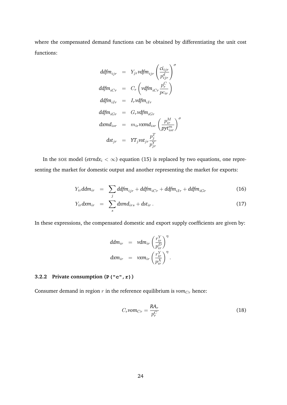where the compensated demand functions can be obtained by differentiating the unit cost functions:

$$
ddfm_{ijr} = Y_{jr} vdfm_{ijr} \left(\frac{ci_{ijr}}{p_{ijr}^d}\right)^{\sigma}
$$
\n
$$
ddfm_{iCr} = C_r \left(vdfm_{iCr}\frac{p_r^C}{pc_{ir}}\right)
$$
\n
$$
ddfm_{iIr} = I_r vdfm_{iIr}
$$
\n
$$
ddfm_{iGr} = G_r vdfm_{iGr}
$$
\n
$$
dxdm_{isr} = m_{ir} vxmd_{isr} \left(\frac{p_{ir}^M}{pyt_{isr}^m}\right)^{\sigma}
$$
\n
$$
dst_{jr} = YT_j vst_{jr} \frac{p_j^T}{p_{jr}^Y}
$$

In the soe model ( $\text{etrnd}x_i < \infty$ ) equation [\(15\)](#page-24-1) is replaced by two equations, one representing the market for domestic output and another representing the market for exports:

$$
Y_{ir}ddm_{ir} = \sum_{j} ddfm_{ijr} + ddfm_{iCr} + ddfm_{iIr} + ddfm_{iGr}
$$
 (16)

$$
Y_{ir}dxm_{ir} = \sum_{s} dxmd_{irs} + dst_{ir}. \qquad (17)
$$

In these expressions, the compensated domestic and export supply coefficients are given by:

$$
ddm_{ir} = vdm_{ir} \left(\frac{r_{ir}^Y}{p_{ir}^D}\right)^{\eta}
$$
  

$$
dxm_{ir} = vxm_{ir} \left(\frac{r_{ir}^Y}{p_{ir}^X}\right)^{\eta}.
$$

#### **3.2.2 Private consumption (P("c",r))**

Consumer demand in region  $r$  in the reference equilibrium is  $vom_{Cr}$  hence:

$$
C_r \nu \sigma C_r = \frac{R A_r}{p_r^C} \tag{18}
$$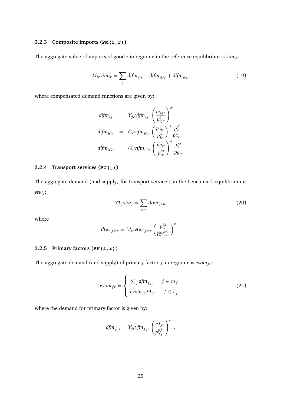#### **3.2.3 Composite imports (PM(i,r))**

The aggregate value of imports of good  $i$  in region  $r$  in the reference equilibrium is  $v_{ij}$ :

$$
M_{ir} \mathsf{v} \mathsf{im}_{ir} = \sum_{j} \mathsf{diffm}_{ijr} + \mathsf{diffm}_{iCr} + \mathsf{diffm}_{iGr} \tag{19}
$$

where compensated demand functions are given by:

$$
\begin{array}{rcl} \text{dif} m_{ijr} &=& Y_{jr} \text{vif} m_{ijr} \left( \frac{c i_{ijr}}{p_{ijr}^i} \right)^\sigma \\ \text{dif} m_{iCr} &=& C_r \text{vif} m_{iCr} \left( \frac{p c_{ir}}{p_{ir}^{ic}} \right)^\sigma \frac{p_r^C}{p c_{ir}} \\ \text{dif} m_{iGr} &=& G_r \text{vif} m_{iGr} \left( \frac{p g_{ir}}{p_{ir}^{ig}} \right)^\sigma \frac{p_r^G}{p g_{ir}} \end{array}
$$

#### **3.2.4 Transport services (PT(j))**

The aggregate demand (and supply) for transport service  $j$  in the benchmark equilibrium is  $vtw_i$ :

$$
YT_jvtw_j = \sum_{isr} dtwr_{jisr}
$$
 (20)

where

$$
\displaystyle{\mathsf{dt} \mathsf{w} r_{jisr} = M_{ir} \mathsf{v} \mathsf{t} \mathsf{w} r_{jisr} \left( \frac{p_{ir}^M}{p \mathsf{y} \mathsf{t}^m_{isr}} \right)^\sigma\,.
$$

#### **3.2.5 Primary factors (PF(f,r))**

The aggregate demand (and supply) of primary factor  $f$  in region  $r$  is  $evom_{fr}$ :

$$
evom_{fr} = \begin{cases} \sum_{j} dfm_{fjr} & f \in m_f \\ \text{evom}_{fr}FT_{fr} & f \in s_f \end{cases}
$$
 (21)

where the demand for primary factor is given by:

$$
dfm_{fjr} = Y_{jr} \text{vfm}_{fjr} \left(\frac{cf_{jr}}{p_{fjr}^{pf}}\right)^{\sigma}.
$$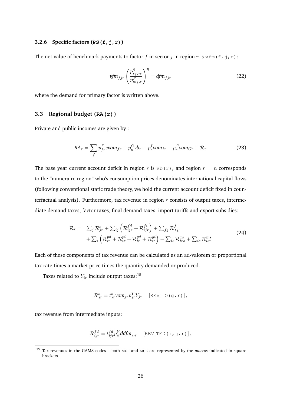#### **3.2.6 Specific factors (PS(f,j,r))**

The net value of benchmark payments to factor f in sector j in region r is  $\text{vfm}(f, j, r)$ :

$$
\text{vfm}_{fjr} \left(\frac{p_{s_f,jr}^S}{p_{m_f,r}^F}\right)^{\eta} = \text{dfm}_{fjr} \tag{22}
$$

where the demand for primary factor is written above.

#### **3.3 Regional budget (RA(r))**

Private and public incomes are given by :

$$
RA_r = \sum_{f} p_{fr}^F \text{evom}_{fr} + p_n^C v b_r - p_r^I \text{vom}_{Ir} - p_r^G \text{vom}_{Gr} + \mathcal{R}_r
$$
\n(23)

The base year current account deficit in region r is  $vb(r)$ , and region  $r = n$  corresponds to the "numeraire region" who's consumption prices denominates international capital flows (following conventional static trade theory, we hold the current account deficit fixed in counterfactual analysis). Furthermore, tax revenue in region  $r$  consists of output taxes, intermediate demand taxes, factor taxes, final demand taxes, import tariffs and export subsidies:

$$
\mathcal{R}_r = \sum_j \mathcal{R}_{jr}^o + \sum_{ij} \left( \mathcal{R}_{ijr}^{fd} + \mathcal{R}_{ijr}^{fi} \right) + \sum_{fj} \mathcal{R}_{fjr}^f \n+ \sum_i \left( \mathcal{R}_{ir}^{pd} + \mathcal{R}_{ir}^{pi} + \mathcal{R}_{ir}^{gd} + \mathcal{R}_{ir}^{gi} \right) - \sum_{is} \mathcal{R}_{irs}^{xs} + \sum_{is} \mathcal{R}_{isr}^{ms}
$$
\n(24)

Each of these components of tax revenue can be calculated as an ad-valorem or proportional tax rate times a market price times the quantity demanded or produced.

Taxes related to  $Y_{ir}$  include output taxes:<sup>[15](#page-27-0)</sup>

$$
\mathcal{R}_{jr}^o = t_{jr}^o \text{vom}_{jr} p_{jr}^Y Y_{jr} \quad \text{[REV\_TO (g, r)]},
$$

tax revenue from intermediate inputs:

$$
\mathcal{R}_{ijr}^{fd} = t_{ijr}^{fd} p_i^Y \, d\!d\!f m_{ijr} \quad \text{[REV\_TFD(i,j,r)]},
$$

<span id="page-27-0"></span><sup>15</sup> Tax revenues in the GAMS codes – both MCP and MGE are represented by the *macros* indicated in square brackets.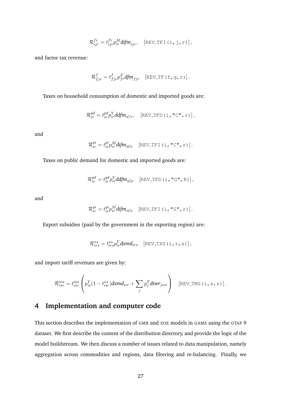$$
\mathcal{R}_{ijr}^{fi} = t_{ijr}^{fi} p_{ir}^{M} \text{d} \text{f} m_{ijr}, \quad \text{[REV\_TFI (i,j,r)]},
$$

and factor tax revenue:

$$
\mathcal{R}^f_{fjr} = t^f_{fjr} p^F_{fr} dfm_{fjr} \quad \text{[REV_TF (f, g, r)]}.
$$

Taxes on household consumption of domestic and imported goods are:

$$
\mathcal{R}_{ir}^{pd} = t_{ir}^{pd} p_{ir}^{Y} ddfm_{iCr}, \quad \text{[REV\_TFD(i, "C", r)]},
$$

and

$$
\mathcal{R}_{ir}^{pi} = t_{ir}^{pi} p_{ir}^{M} \text{diffm}_{iGr} \quad \text{[REV\_TFI (i, "C", r)]}.
$$

Taxes on public demand for domestic and imported goods are:

$$
\mathcal{R}_{ir}^{gd} = t_{ir}^{gd} p_{ir}^{Y} ddfm_{iGr} \quad \text{[REV\_TFD(i, "G", R)]},
$$

and

$$
\mathcal{R}_{ir}^{gi} = t_{ir}^{gi} p_{ir}^{M} \text{diff} m_{iGr} \quad \text{[REV\_TFI (i, "G", r)]}.
$$

Export subsidies (paid by the government in the exporting region) are:

$$
\mathcal{R}_{irs}^{xs} = t_{irs}^{xs} p_{ir}^{Y} dx m d_{irs} \quad \text{[REV_TXS (i, r, s)]},
$$

and import tariff revenues are given by:

$$
\mathcal{R}_{isr}^{ms} = t_{isr}^{ms} \left( p_{is}^{Y}(1-t_{isr}^{xs}) \, dx m d_{isr} + \sum_{j} p_{j}^{T} \, dt w r_{jisr} \right) \quad \text{[REV_TMS (i, s, r)]}.
$$

# <span id="page-28-0"></span>**4 Implementation and computer code**

This section describes the implementation of GMR and SOE models in GAMS using the GTAP 9 dataset. We first describe the content of the distribution directory, and provide the logic of the model buildstream. We then discuss a number of issues related to data manipulation, namely aggregation across commodities and regions, data filtering and re-balancing. Finally, we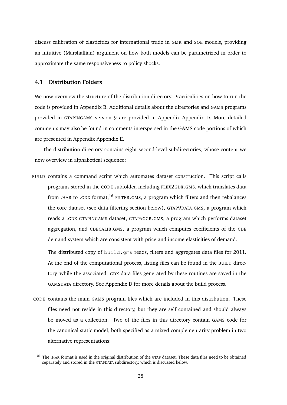discuss calibration of elasticities for international trade in GMR and SOE models, providing an intuitive (Marshallian) argument on how both models can be parametrized in order to approximate the same responsiveness to policy shocks.

#### **4.1 Distribution Folders**

We now overview the structure of the distribution directory. Practicalities on how to run the code is provided in [Appendix B.](#page-48-0) Additional details about the directories and GAMS programs provided in GTAPINGAMS version 9 are provided in Appendix [Appendix D.](#page-54-0) More detailed comments may also be found in comments interspersed in the GAMS code portions of which are presented in Appendix [Appendix E.](#page-60-0)

The distribution directory contains eight second-level subdirectories, whose content we now overview in alphabetical sequence:

BUILD contains a command script which automates dataset construction. This script calls programs stored in the CODE subfolder, including FLEX2GDX.GMS, which translates data from .HAR to .GDX format,<sup>[16](#page-29-0)</sup> FILTER.GMS, a program which filters and then rebalances the core dataset (see data filtering section below), GTAP9DATA.GMS, a program which reads a .GDX GTAPINGAMS dataset, GTAPAGGR.GMS, a program which performs dataset aggregation, and CDECALIB.GMS, a program which computes coefficients of the CDE demand system which are consistent with price and income elasticities of demand.

The distributed copy of build.gms reads, filters and aggregates data files for 2011. At the end of the computational process, listing files can be found in the BUILD directory, while the associated .GDX data files generated by these routines are saved in the GAMSDATA directory. See Appendix D for more details about the build process.

CODE contains the main GAMS program files which are included in this distribution. These files need not reside in this directory, but they are self contained and should always be moved as a collection. Two of the files in this directory contain GAMS code for the canonical static model, both specified as a mixed complementarity problem in two alternative representations:

<span id="page-29-0"></span><sup>&</sup>lt;sup>16</sup> The .HAR format is used in the original distribution of the GTAP dataset. These data files need to be obtained separately and stored in the GTAPDATA subdirectory, which is discussed below.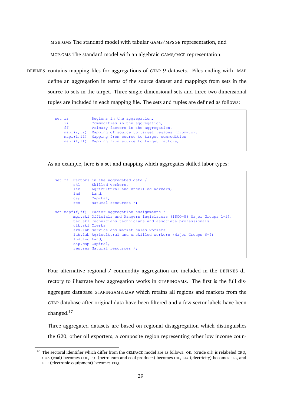MGE.GMS The standard model with tabular GAMS/MPSGE representation, and MCP.GMS The standard model with an algebraic GAMS/MCP representation.

DEFINES contains mapping files for aggregations of GTAP 9 datasets. Files ending with .MAP define an aggregation in terms of the source dataset and mappings from sets in the source to sets in the target. Three single dimensional sets and three two-dimensional tuples are included in each mapping file. The sets and tuples are defined as follows:

```
set rr Regions in the aggregation,
   ii Commodities in the aggregation,
   ff Primary factors in the aggregation,
   mapr(r,rr) Mapping of source to target regions (from-to),
   mapi(i,ii) Mapping from source to target commodities
   mapf(f,ff) Mapping from source to target factors;
```
As an example, here is a set and mapping which aggregates skilled labor types:

```
set ff Factors in the aggregated data /
       skl Skilled workers,
       lab Agricultural and unskilled workers,
       lnd Land,
       cap Capital,
       res Natural resources /;
set mapf(f,ff) Factor aggregation assignments /
       mgr.skl Officials and Mangers legislators (ISCO-88 Major Groups 1-2),
       tec.skl Technicians technicians and associate professionals
       clk.skl Clerks
       srv.lab Service and market sales workers
       lab.lab Agricultural and unskilled workers (Major Groups 6-9)
       lnd.lnd Land,
       cap.cap Capital,
       res.res Natural resources /;
```
Four alternative regional / commodity aggregation are included in the DEFINES directory to illustrate how aggregation works in GTAPINGAMS. The first is the full disaggregate database GTAPINGAMS.MAP which retains all regions and markets from the GTAP database after original data have been filtered and a few sector labels have been changed.[17](#page-30-0)

Three aggregated datasets are based on regional disaggregation which distinguishes the G20, other oil exporters, a composite region representing other low income coun-

<span id="page-30-0"></span><sup>17</sup> The sectoral identifier which differ from the GEMPACK model are as follows: OIL (crude oil) is relabeled CRU, COA (coal) becomes COL, P<sub>-C</sub> (petroleum and coal products) becomes OIL, ELY (electricity) becomes ELE, and ELE (electronic equipment) becomes EEQ.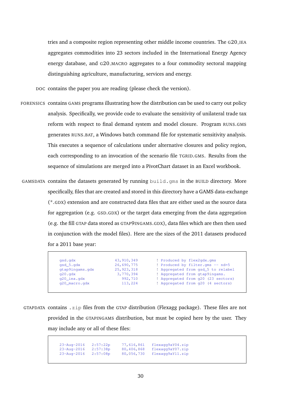tries and a composite region representing other middle income countries. The G20 IEA aggregates commodities into 23 sectors included in the International Energy Agency energy database, and G20 MACRO aggregates to a four commodity sectoral mapping distinguishing agriculture, manufacturing, services and energy.

DOC contains the paper you are reading (please check the version).

- FORENSICS contains GAMS programs illustrating how the distribution can be used to carry out policy analysis. Specifically, we provide code to evaluate the sensitivity of unilateral trade tax reform with respect to final demand system and model closure. Program RUNS.GMS generates RUNS.BAT, a Windows batch command file for systematic sensitivity analysis. This executes a sequence of calculations under alternative closures and policy region, each corresponding to an invocation of the scenario file TGRID.GMS. Results from the sequence of simulations are merged into a PivotChart dataset in an Excel workbook.
- GAMSDATA contains the datasets generated by running build.gms in the BUILD directory. More specifically, files that are created and stored in this directory have a GAMS data-exchange (\*.GDX) extension and are constructed data files that are either used as the source data for aggregation (e.g. GSD.GDX) or the target data emerging from the data aggregation (e.g. the fill GTAP data stored as GTAP9INGAMS.GDX), data files which are then then used in conjunction with the model files). Here are the sizes of the 2011 datasets produced for a 2011 base year:

| gsd.gdx         | 43, 910, 349 | ! Produced by flex2qdx.qms         |
|-----------------|--------------|------------------------------------|
| $qsd_5.qdx$     | 26,690,775   | ! Produced by filter.gms -- nd=5   |
| gtap9ingams.gdx | 25, 923, 318 | ! Aggregated from gsd_5 to relabel |
| q20.9dx         | 3,770,394    | ! Aggregated from gtap9ingams.     |
| $q20$ iea.gdx   | 992,710      | ! Aggregated from g20 (23 sectors) |
| q20_macro.qdx   | 113,224      | ! Aggregated from g20 (4 sectors)  |

GTAPDATA contains .zip files from the GTAP distribution (Flexagg package). These files are not provided in the GTAPINGAMS distribution, but must be copied here by the user. They may include any or all of these files:

> 23-Aug-2016 2:57:22p 77,616,861 flexagg9aY04.zip 23-Aug-2016 2:57:38p 80,406,868 flexagg9aY07.zip 23-Aug-2016 2:57:08p 80,056,730 flexagg9aY11.zip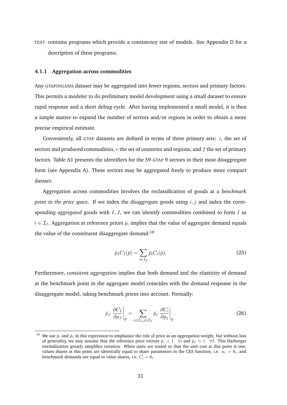TEST contains programs which provide a consistency test of models. See Appendix D for a description of these programs.

#### **4.1.1 Aggregation across commodities**

Any GTAPINGAMS dataset may be aggregated into fewer regions, sectors and primary factors. This permits a modeler to do preliminary model development using a small dataset to ensure rapid response and a short debug cycle. After having implemented a small model, it is then a simple matter to expand the number of sectors and/or regions in order to obtain a more precise empirical estimate.

Conveniently, all GTAP datasets are defined in terms of three primary sets:  $i$ , the set of sectors and produced commodities,  $r$  the set of countries and regions, and  $f$  the set of primary factors. Table [A1](#page-46-1) presents the identifiers for the 59 GTAP 9 sectors in their most disaggregate form (see [Appendix A\)](#page-46-0). These sectors may be aggregated freely to produce more compact dataset.

Aggregation across commodities involves the reclassification of goods at *a benchmark point in the price space*. If we index the *disaggregate* goods using i, j and index the corresponding *aggregated* goods with I, J, we can identify commodities combined to form I as  $i \in \mathcal{I}_I$ . Aggregation at reference prices  $\bar{p}_i$  implies that the value of aggregate demand equals the value of the constituent disaggregate demand: $^{18}$  $^{18}$  $^{18}$ 

$$
\bar{p}_I C_I(\bar{p}) = \sum_{i \in \mathcal{I}_I} \bar{p}_i C_i(\bar{p}).
$$
\n(25)

Furthermore, *consistent aggregation* implies that both demand and the elasticity of demand at the benchmark point in the aggregate model coincides with the demand response in the disaggregate model, taking benchmark prices into account. Formally:

$$
\bar{p}_J \left. \frac{\partial C_I}{\partial p_J} \right|_{\bar{p}} = \sum_{i \in \mathcal{I}_I, j \in \mathcal{I}_J} \bar{p}_j \left. \frac{\partial C_i}{\partial p_j} \right|_{\bar{p}}.
$$
\n(26)

<span id="page-32-0"></span><sup>&</sup>lt;sup>18</sup> We use  $\bar{p}_i$  and  $\bar{p}_I$  in this expression to emphasize the role of price as an aggregation weight, but without loss of generality, we may assume that the reference price vectors  $\bar{p}_i = 1 \quad \forall i$  and  $\bar{p}_I = 1 \quad \forall I$ . This Harberger normalization greatly simplifies notation. When units are scaled so that the unit cost at this point is one, values shares at this point are identically equal to share parameters in the CES function, i.e.  $\alpha_i = \theta_i$ , and benchmark demands are equal to value shares, i.e.  $\bar{C}_i = \theta_i$ .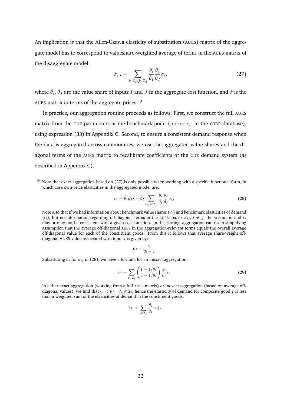An implication is that the Allen-Uzawa elasticity of substitution (AUES) matrix of the aggregate model has to correspond to valueshare-weighted average of terms in the AUES matrix of the disaggregate model:

<span id="page-33-1"></span>
$$
\hat{\sigma}_{IJ} = \sum_{i \in \mathcal{I}_I, j \in \mathcal{I}_J} \frac{\theta_i}{\hat{\theta}_I} \frac{\theta_j}{\hat{\theta}_J} \sigma_{ij}
$$
(27)

where  $\hat{\theta}_I, \hat{\theta}_J$  are the value share of inputs  $I$  and  $J$  in the aggregate cost function, and  $\hat{\sigma}$  is the AUES matrix in terms of the aggregate prices.[19](#page-33-0)

In practice, our aggregation routine proceeds as follows. First, we construct the full AUES matrix from the CDE parameters at the benchmark point (subpar<sub>ir</sub> in the GTAP database), using expression [\(33\)](#page-51-0) in [Appendix C.](#page-49-0) Second, to ensure a consistent demand response when the data is aggregated across commodities, we use the aggregated value shares and the diagonal terms of the AUES matrix to recalibrate coefficients of the CDE demand system (as described in [Appendix C\)](#page-49-0).

<span id="page-33-2"></span>
$$
\epsilon_I = \hat{\theta}_I \sigma_{II} = \hat{\theta}_I \sum_{(ij)\in\mathcal{I}_I} \frac{\theta_i}{\hat{\theta}_I} \frac{\theta_j}{\hat{\theta}_I} \sigma_{ij}
$$
(28)

Note also that if we had information about benchmark value shares  $(\theta_i)$  and benchmark elasticities of demand  $(\epsilon_i)$ , but no information regarding off-diagonal terms in the AUES matrix  $\sigma_{ij}$ ,  $i \neq j$ , the vectors  $\theta_i$  and  $\epsilon_i$ may or may not be consistent with a given cost function. In this setting, aggregation can use a simplifying assumption that the average off-diagonal AUES in the aggregation-relevant terms equals the overall average off-diagonal value for each of the constituent goods. From this it follows that average share-weight offdiagonal AUES value associated with input  $i$  is given by:

$$
\bar{\sigma}_i = \frac{\epsilon_i}{\theta_i - 1}
$$

Substituting  $\bar{\sigma}_i$  for  $\sigma_{ij}$  in [\(28\)](#page-33-2), we have a formula for an inexact aggregation:

$$
\hat{\epsilon}_I = \sum_{i \in \mathcal{I}_I} \left( \frac{1 - 1/\hat{\theta}_I}{1 - 1/\theta_i} \right) \frac{\theta_i}{\theta_I} \epsilon_i
$$
\n(29)

In either exact aggregation (working from a full AUES matrix) or inexact aggregation (based on average offdiagonal values), we find that  $\theta_i < \theta_I \quad \forall i \in \mathcal{I}_i$ , hence the elasticity of demand for composite good I is less than a weighted sum of the elasticities of demand in the constituent goods:

$$
|\hat{\epsilon}_I| < \sum_{i \in \mathcal{I}_I} \frac{\theta_i}{\hat{\theta}_I} |\epsilon_i| \, .
$$

<span id="page-33-0"></span><sup>&</sup>lt;sup>19</sup> Note that exact aggregation based on [\(27\)](#page-33-1) is only possible when working with a specific functional form, in which case own-price elasticities in the aggregated model are: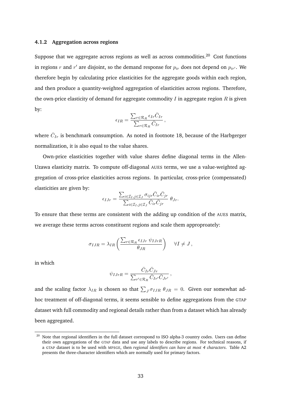#### **4.1.2 Aggregation across regions**

Suppose that we aggregate across regions as well as across commodities.<sup>[20](#page-34-0)</sup> Cost functions in regions  $r$  and  $r'$  are disjoint, so the demand response for  $p_{ir}$  does not depend on  $p_{ir'}$ . We therefore begin by calculating price elasticities for the aggregate goods within each region, and then produce a quantity-weighted aggregation of elasticities across regions. Therefore, the own-price elasticity of demand for aggregate commodity  $I$  in aggregate region  $R$  is given by:

$$
\epsilon_{IR} = \frac{\sum_{r \in \mathcal{R}_R} \epsilon_{Ir} \bar{C}_{Ir}}{\sum_{r \in \mathcal{R}_R} \bar{C}_{Ir}},
$$

where  $\bar{C}_{Ir}$  is benchmark consumption. As noted in footnote [18,](#page-32-0) because of the Harbgerger normalization, it is also equal to the value shares.

Own-price elasticities together with value shares define diagonal terms in the Allen-Uzawa elasticity matrix. To compute off-diagonal AUES terms, we use a value-weighted aggregation of cross-price elasticities across regions. In particular, cross-price (compensated) elasticities are given by:

$$
\epsilon_{IJr} = \frac{\sum_{i \in \mathcal{I}_I, j \in \mathcal{I}_J} \sigma_{ijr} \bar{C}_{ir} \bar{C}_{jr}}{\sum_{i \in \mathcal{I}_I, j \in \mathcal{I}_J} \bar{C}_{ir} \bar{C}_{jr}} \theta_{Jr}.
$$

To ensure that these terms are consistent with the adding up condition of the AUES matrix, we average these terms across constituent regions and scale them approproately:

$$
\sigma_{IJR} = \lambda_{IR} \left( \frac{\sum_{r \in \mathcal{R}_R} \epsilon_{IJr} \psi_{IJrR}}{\theta_{JR}} \right) \quad \forall I \neq J,
$$

in which

$$
\psi_{IJrR} = \frac{\bar{C}_{Ir}\bar{C}_{Jr}}{\sum_{r' \in \mathcal{R}_R} \bar{C}_{Ir'}\bar{C}_{Jr'}},
$$

and the scaling factor  $\lambda_{IR}$  is chosen so that  $\sum_J \sigma_{IJR} \theta_{JR} = 0$ . Given our somewhat adhoc treatment of off-diagonal terms, it seems sensible to define aggregations from the GTAP dataset with full commodity and regional details rather than from a dataset which has already been aggregated.

<span id="page-34-0"></span><sup>&</sup>lt;sup>20</sup> Note that regional identifiers in the full dataset correspond to ISO alpha-3 country codes. Users can define their own aggregations of the GTAP data and use any labels to describe regions. For technical reasons, if a GTAP dataset is to be used with MPSGE, then *regional identifiers can have at most 4 characters*. Table [A2](#page-47-0) presents the three-character identifiers which are normally used for primary factors.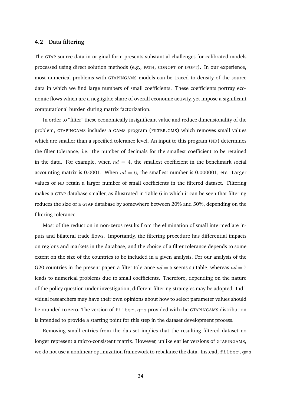#### **4.2 Data filtering**

The GTAP source data in original form presents substantial challenges for calibrated models processed using direct solution methods (e.g., PATH, CONOPT or IPOPT). In our experience, most numerical problems with GTAPINGAMS models can be traced to density of the source data in which we find large numbers of small coefficients. These coefficients portray economic flows which are a negligible share of overall economic activity, yet impose a significant computational burden during matrix factorization.

In order to "filter" these economically insignificant value and reduce dimensionality of the problem, GTAPINGAMS includes a GAMS program (FILTER.GMS) which removes small values which are smaller than a specified tolerance level. An input to this program (ND) determines the filter tolerance, i.e. the number of decimals for the smallest coefficient to be retained in the data. For example, when  $nd = 4$ , the smallest coefficient in the benchmark social accounting matrix is 0.0001. When  $nd = 6$ , the smallest number is 0.000001, etc. Larger values of ND retain a larger number of small coefficients in the filtered dataset. Filtering makes a GTAP database smaller, as illustrated in Table [6](#page-36-0) in which it can be seen that filtering reduces the size of a GTAP database by somewhere between 20% and 50%, depending on the filtering tolerance.

Most of the reduction in non-zeros results from the elimination of small intermediate inputs and bilateral trade flows. Importantly, the filtering procedure has differential impacts on regions and markets in the database, and the choice of a filter tolerance depends to some extent on the size of the countries to be included in a given analysis. For our analysis of the G20 countries in the present paper, a filter tolerance  $nd = 5$  seems suitable, whereas  $nd = 7$ leads to numerical problems due to small coefficients. Therefore, depending on the nature of the policy question under investigation, different filtering strategies may be adopted. Individual researchers may have their own opinions about how to select parameter values should be rounded to zero. The version of  $filter$ . gms provided with the GTAPINGAMS distribution is intended to provide a starting point for this step in the dataset development process.

Removing small entries from the dataset implies that the resulting filtered dataset no longer represent a micro-consistent matrix. However, unlike earlier versions of GTAPINGAMS, we do not use a nonlinear optimization framework to rebalance the data. Instead, filter.gms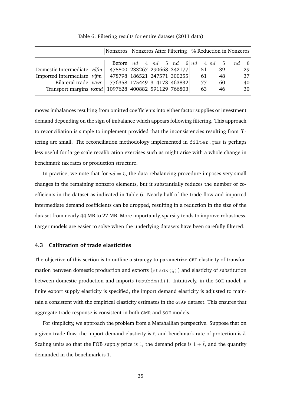<span id="page-36-0"></span>

|                                                       | Nonzeros   Nonzeros After Filtering   % Reduction in Nonzeros |                                                            |    |    |          |
|-------------------------------------------------------|---------------------------------------------------------------|------------------------------------------------------------|----|----|----------|
|                                                       |                                                               | <b>Before</b> $ nd = 4$ $nd = 5$ $nd = 6  nd = 4$ $nd = 5$ |    |    | $nd = 6$ |
| Domestic Intermediate vdfm                            |                                                               | 478800 233267 290668 342177                                | 51 | 39 | 29       |
| Imported Intermediate vifm                            | 478798 186521 247571 300255                                   |                                                            | 61 | 48 | 37       |
| Bilateral trade $vtwr$                                | 776358 175449 314173 463832                                   |                                                            | 77 | 60 | 40       |
| Transport margins vxmd   1097628 400882 591129 766803 |                                                               |                                                            | 63 | 46 | 30       |
|                                                       |                                                               |                                                            |    |    |          |

Table 6: Filtering results for entire dataset (2011 data)

moves imbalances resulting from omitted coefficients into either factor supplies or investment demand depending on the sign of imbalance which appears following filtering. This approach to reconciliation is simple to implement provided that the inconsistencies resulting from filtering are small. The reconciliation methodology implemented in filter.gms is perhaps less useful for large scale recalibration exercises such as might arise with a whole change in benchmark tax rates or production structure.

In practice, we note that for  $nd = 5$ , the data rebalancing procedure imposes very small changes in the remaining nonzero elements, but it substantially reduces the number of coefficients in the dataset as indicated in Table [6.](#page-36-0) Nearly half of the trade flow and imported intermediate demand coefficients can be dropped, resulting in a reduction in the size of the dataset from nearly 44 MB to 27 MB. More importantly, sparsity tends to improve robustness. Larger models are easier to solve when the underlying datasets have been carefully filtered.

#### **4.3 Calibration of trade elasticities**

The objective of this section is to outline a strategy to parametrize CET elasticity of transformation between domestic production and exports ( $eta(x)$ ) and elasticity of substitution between domestic production and imports (esubdm(i)). Intuitively, in the SOE model, a finite export supply elasticity is specified, the import demand elasticity is adjusted to maintain a consistent with the empirical elasticity estimates in the GTAP dataset. This ensures that aggregate trade response is consistent in both GMR and SOE models.

For simplicity, we approach the problem from a Marshallian perspective. Suppose that on a given trade flow, the import demand elasticity is  $\bar{\epsilon}$ , and benchmark rate of protection is  $\bar{t}$ . Scaling units so that the FOB supply price is 1, the demand price is  $1 + \bar{t}$ , and the quantity demanded in the benchmark is 1.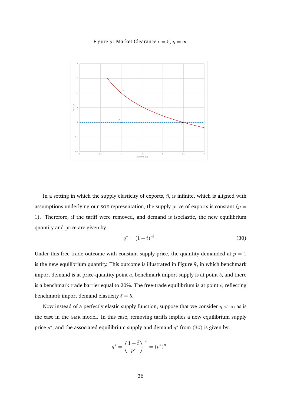Figure 9: Market Clearance  $\epsilon = 5$ ,  $\eta = \infty$ 

<span id="page-37-0"></span>

In a setting in which the supply elasticity of exports,  $\bar{\eta}$ , is infinite, which is aligned with assumptions underlying our SOE representation, the supply price of exports is constant ( $p =$ 1). Therefore, if the tariff were removed, and demand is isoelastic, the new equilibrium quantity and price are given by:

<span id="page-37-1"></span>
$$
q^* = (1 + \bar{t})^{|\bar{\epsilon}|} \tag{30}
$$

Under this free trade outcome with constant supply price, the quantity demanded at  $p = 1$ is the new equilibrium quantity. This outcome is illustrated in Figure [9,](#page-37-0) in which benchmark import demand is at price-quantity point  $a$ , benchmark import supply is at point  $b$ , and there is a benchmark trade barrier equal to 20%. The free-trade equilibrium is at point  $c$ , reflecting benchmark import demand elasticity  $\bar{\epsilon} = 5$ .

Now instead of a perfectly elastic supply function, suppose that we consider  $\eta < \infty$  as is the case in the GMR model. In this case, removing tariffs implies a new equilibrium supply price  $p^*$ , and the associated equilibrium supply and demand  $q^*$  from [\(30\)](#page-37-1) is given by:

$$
q^* = \left(\frac{1+\bar{t}}{p^*}\right)^{|\epsilon|} = (p^*)^{\eta} .
$$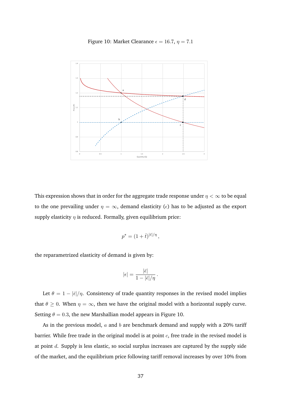Figure 10: Market Clearance  $\epsilon = 16.7$ ,  $\eta = 7.1$ 

<span id="page-38-0"></span>

This expression shows that in order for the aggregate trade response under  $\eta < \infty$  to be equal to the one prevailing under  $\eta = \infty$ , demand elasticity ( $\epsilon$ ) has to be adjusted as the export supply elasticity  $\eta$  is reduced. Formally, given equilibrium price:

$$
p^* = (1+\bar{t})^{|\bar{\epsilon}|/\eta},
$$

the reparametrized elasticity of demand is given by:

$$
|\epsilon| = \frac{|\bar{\epsilon}|}{1 - |\bar{\epsilon}|/\eta} \, .
$$

Let  $\theta = 1 - |\bar{\epsilon}|/\eta$ . Consistency of trade quantity responses in the revised model implies that  $\theta \geq 0$ . When  $\eta = \infty$ , then we have the original model with a horizontal supply curve. Setting  $\theta = 0.3$ , the new Marshallian model appears in Figure [10.](#page-38-0)

As in the previous model,  $a$  and  $b$  are benchmark demand and supply with a 20% tariff barrier. While free trade in the original model is at point  $c$ , free trade in the revised model is at point  $d$ . Supply is less elastic, so social surplus increases are captured by the supply side of the market, and the equilibrium price following tariff removal increases by over 10% from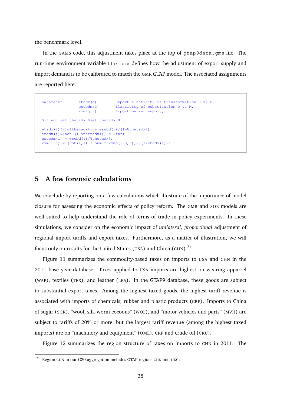the benchmark level.

In the GAMS code, this adjustment takes place at the top of  $gt^2$  apsolata.gms file. The run-time environment variable thetadx defines how the adjustment of export supply and import demand is to be calibrated to match the GMR GTAP model. The associated assignments are reported here.

```
parameter etadx(g) Export elasticity of transformation D vs E,
                esubdm(i) \frac{2}{\pi} Elasticity of substitution D vs M,
                vxm(g,r) Export market supply;
$if not set thetadx $set thetadx 0.5
etadx(i)$(1-\$theta) = esubd(i)/(1-\\thetadx\atable);
etadx(i)$(not (1-\text{6}thetadx%)) = +inf;
esubdm(i) = esubd(i)/%thetadx%;
vxm(i,s) = (vst(i,s) + sum(r,vxmd(i,s,r)))$(1/etadx(i));
```
## **5 A few forensic calculations**

We conclude by reporting on a few calculations which illustrate of the importance of model closure for assessing the economic effects of policy reform. The GMR and SOE models are well suited to help understand the role of terms of trade in policy experiments. In these simulations, we consider on the economic impact of *unilateral, proportional* adjustment of regional import tariffs and export taxes. Furthermore, as a matter of illustration, we will focus only on results for the United States (USA) and China (CHN). $^{21}$  $^{21}$  $^{21}$ 

Figure [11](#page-40-0) summarizes the commodity-based taxes on imports to USA and CHN in the 2011 base year database. Taxes applied to USA imports are highest on wearing apparrel (WAP), textiles (TEX), and leather (LEA). In the GTAP9 database, these goods are subject to substantial export taxes. Among the highest taxed goods, the highest tariff revenue is associated with imports of chemicals, rubber and plastic products (CRP). Imports to China of sugar (SGR), "wool, silk-worm cocoons" (WOL), and "motor vehicles and parts" (MVH) are subject to tariffs of 20% or more, but the largest tariff revenue (among the highest taxed imports) are on "machinery and equipment" (OME), CRP and crude oil (CRU).

Figure [12](#page-41-0) summarizes the region structure of taxes on imports to CHN in 2011. The

<span id="page-39-0"></span><sup>&</sup>lt;sup>21</sup> Region CHN in our G20 aggregation includes GTAP regions CHN and HKG.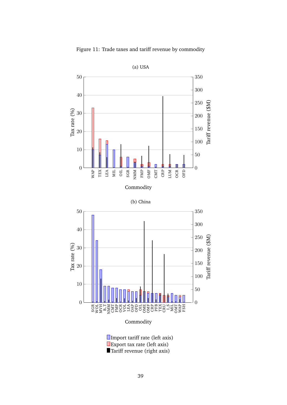<span id="page-40-1"></span><span id="page-40-0"></span>

Figure 11: Trade taxes and tariff revenue by commodity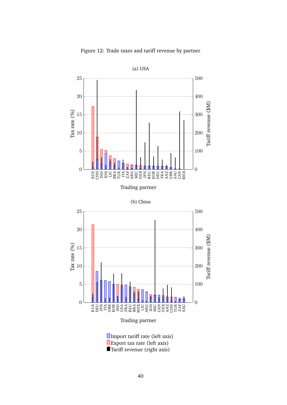<span id="page-41-1"></span><span id="page-41-0"></span>

Figure 12: Trade taxes and tariff revenue by partner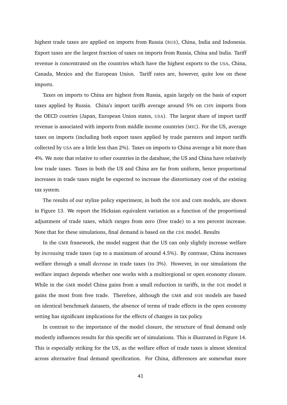highest trade taxes are applied on imports from Russia (RUS), China, India and Indonesia. Export taxes are the largest fraction of taxes on imports from Russia, China and India. Tariff revenue is concentrated on the countries which have the highest exports to the USA, China, Canada, Mexico and the European Union. Tariff rates are, however, quite low on these imports.

Taxes on imports to China are highest from Russia, again largely on the basis of export taxes applied by Russia. China's import tariffs average around 5% on CHN imports from the OECD coutries (Japan, European Union states, USA). The largest share of import tariff revenue is associated with imports from middle income countries (MIC). For the US, average taxes on imports (including both export taxes applied by trade parnters and import tariffs collected by USA are a little less than 2%). Taxes on imports to China average a bit more than 4%. We note that relative to other countries in the database, the US and China have relatively low trade taxes. Taxes in both the US and China are far from uniform, hence proportional increases in trade taxes might be expected to increase the distortionary cost of the existing tax system.

The results of our stylize policy experiment, in both the SOE and GMR models, are shown in Figure [13.](#page-43-0) We report the Hicksian equivalent variation as a function of the proportional adjustment of trade taxes, which ranges from zero (free trade) to a ten percent increase. Note that for these simulations, final demand is based on the CDE model. Results

In the GMR franework, the model suggest that the US can only slightly increase welfare by *increasing* trade taxes (up to a maximum of around 4.5%). By contrase, China increases welfare through a small *decrease* in trade taxes (to 3%). However, in our simulations the welfare impact depends whether one works with a multiregional or open economy closure. While in the GMR model China gains from a small reduction in tariffs, in the SOE model it gains the most from free trade. Therefore, although the GMR and SOE models are based on identical benchmark datasets, the absence of terms of trade effects in the open economy setting has significant implications for the effects of changes in tax policy.

In contrast to the importance of the model closure, the structure of final demand only modestly influences results for this specific set of simulations. This is illustrated in Figure [14.](#page-44-0) This is especially striking for the US, as the welfare effect of trade taxes is almost identical across alternative final demand specification. For China, differences are somewhat more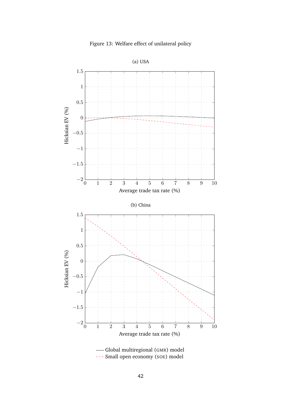

<span id="page-43-1"></span><span id="page-43-0"></span>

--- [Small open economy \(](#page-43-1)SOE) model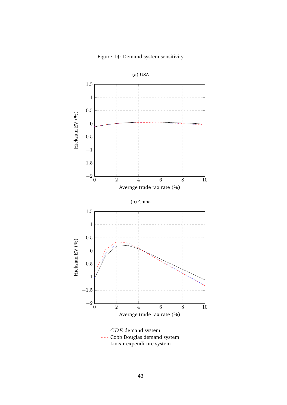

<span id="page-44-1"></span><span id="page-44-0"></span>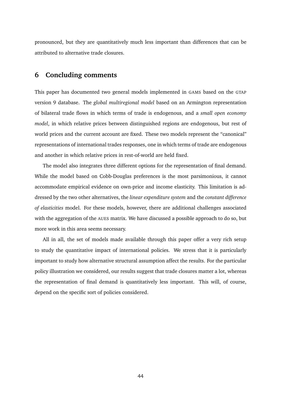pronounced, but they are quantitatively much less important than differences that can be attributed to alternative trade closures.

## **6 Concluding comments**

This paper has documented two general models implemented in GAMS based on the GTAP version 9 database. The *global multiregional model* based on an Armington representation of bilateral trade flows in which terms of trade is endogenous, and a *small open economy model*, in which relative prices between distinguished regions are endogenous, but rest of world prices and the current account are fixed. These two models represent the "canonical" representations of international trades responses, one in which terms of trade are endogenous and another in which relative prices in rest-of-world are held fixed.

The model also integrates three different options for the representation of final demand. While the model based on Cobb-Douglas preferences is the most parsimonious, it cannot accommodate empirical evidence on own-price and income elasticity. This limitation is addressed by the two other alternatives, the *linear expenditure system* and the *constant difference of elasticities* model. For these models, however, there are additional challenges associated with the aggregation of the AUES matrix. We have discussed a possible approach to do so, but more work in this area seems necessary.

All in all, the set of models made available through this paper offer a very rich setup to study the quantitative impact of international policies. We stress that it is particularly important to study how alternative structural assumption affect the results. For the particular policy illustration we considered, our results suggest that trade closures matter a lot, whereas the representation of final demand is quantitatively less important. This will, of course, depend on the specific sort of policies considered.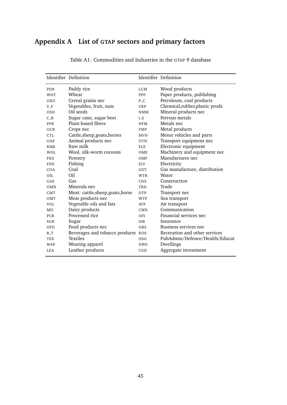# **Appendix A List of GTAP sectors and primary factors**

|            | Identifier Definition              |            | Identifier Definition           |
|------------|------------------------------------|------------|---------------------------------|
| PDR        | Paddy rice                         | <b>LUM</b> | Wood products                   |
| <b>WHT</b> | Wheat                              | PPP        | Paper products, publishing      |
| GRO        | Cereal grains nec                  | $P_{-}C$   | Petroleum, coal products        |
| $V_F$      | Vegetables, fruit, nuts            | CRP        | Chemical, rubber, plastic prods |
| <b>OSD</b> | Oil seeds                          | <b>NMM</b> | Mineral products nec            |
| $C_B$      | Sugar cane, sugar beet             | L S        | Ferrous metals                  |
| PFB        | Plant-based fibers                 | <b>NFM</b> | Metals nec                      |
| <b>OCR</b> | Crops nec                          | <b>FMP</b> | Metal products                  |
| <b>CTL</b> | Cattle, sheep, goats, horses       | <b>MVH</b> | Motor vehicles and parts        |
| OAP        | Animal products nec                | <b>OTN</b> | Transport equipment nec         |
| <b>RMK</b> | Raw milk                           | ELE.       | Electronic equipment            |
| <b>WOL</b> | Wool, silk-worm cocoons            | OME        | Machinery and equipment nec     |
| <b>FRS</b> | Forestry                           | OMF        | Manufactures nec                |
| <b>FSH</b> | Fishing                            | ELY.       | Electricity                     |
| COA        | Coal                               | GDT        | Gas manufacture, distribution   |
| OIL        | Oil                                | <b>WTR</b> | Water                           |
| GAS        | Gas                                | <b>CNS</b> | Construction                    |
| OMN        | Minerals nec                       | TRD        | Trade                           |
| <b>CMT</b> | Meat: cattle, sheep, goats, horse  | OTP        | Transport nec                   |
| OMT        | Meat products nec                  | <b>WTP</b> | Sea transport                   |
| <b>VOL</b> | Vegetable oils and fats            | ATP        | Air transport                   |
| MII.       | Dairy products                     | <b>CMN</b> | Communication                   |
| <b>PCR</b> | Processed rice                     | OFI        | Financial services nec          |
| SGR        | Sugar                              | <b>ISR</b> | Insurance                       |
| OFD        | Food products nec                  | <b>OBS</b> | Business services nec           |
| $B_T$      | Beverages and tobacco products ROS |            | Recreation and other services   |
| <b>TEX</b> | <b>Textiles</b>                    | OSG        | PubAdmin/Defence/Health/Educat  |
| <b>WAP</b> | Wearing apparel                    | <b>DWE</b> | Dwellings                       |
| <b>LEA</b> | Leather products                   | CGD        | Aggregate investment            |

Table A1: Commodities and Industries in the GTAP 9 database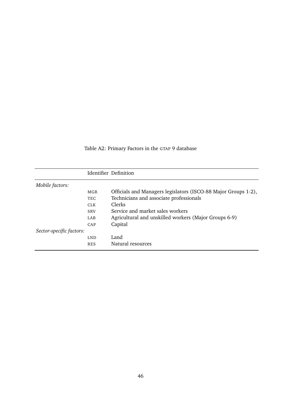Table A2: Primary Factors in the GTAP 9 database

|                          |            | Identifier Definition                                          |
|--------------------------|------------|----------------------------------------------------------------|
| Mobile factors:          |            |                                                                |
|                          | MGR        | Officials and Managers legislators (ISCO-88 Major Groups 1-2), |
|                          | <b>TEC</b> | Technicians and associate professionals                        |
|                          | <b>CLK</b> | Clerks                                                         |
|                          | <b>SRV</b> | Service and market sales workers                               |
|                          | LAB        | Agricultural and unskilled workers (Major Groups 6-9)          |
|                          | CAP        | Capital                                                        |
| Sector-specific factors: |            |                                                                |
|                          | <b>LND</b> | Land                                                           |
|                          | <b>RES</b> | Natural resources                                              |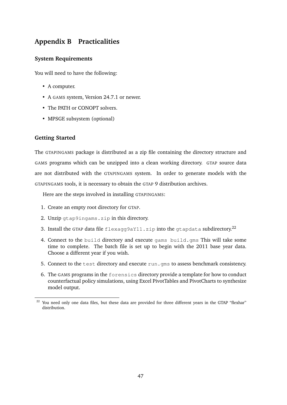# **Appendix B Practicalities**

## **System Requirements**

You will need to have the following:

- A computer.
- A GAMS system, Version 24.7.1 or newer.
- The PATH or CONOPT solvers.
- MPSGE subsystem (optional)

### **Getting Started**

The GTAPINGAMS package is distributed as a zip file containing the directory structure and GAMS programs which can be unzipped into a clean working directory. GTAP source data are not distributed with the GTAPINGAMS system. In order to generate models with the GTAPINGAMS tools, it is necessary to obtain the GTAP 9 distribution archives.

Here are the steps involved in installing GTAPINGAMS:

- 1. Create an empty root directory for GTAP.
- 2. Unzip gtap9ingams.zip in this directory.
- 3. Install the GTAP data file flexagg9aY11.zip into the gtapdata subdirectory.<sup>[22](#page-48-0)</sup>
- 4. Connect to the build directory and execute gams build.gms This will take some time to complete. The batch file is set up to begin with the 2011 base year data. Choose a different year if you wish.
- 5. Connect to the test directory and execute run.gms to assess benchmark consistency.
- 6. The GAMS programs in the forensics directory provide a template for how to conduct counterfactual policy simulations, using Excel PivotTables and PivotCharts to synthesize model output.

<span id="page-48-0"></span><sup>&</sup>lt;sup>22</sup> You need only one data files, but these data are provided for three different years in the GTAP "flexhar" distribution.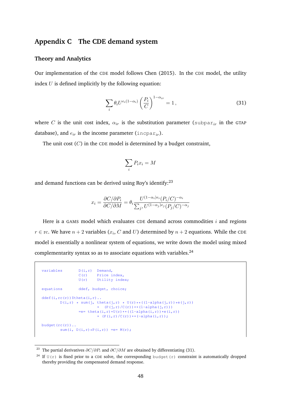## **Appendix C The CDE demand system**

#### **Theory and Analytics**

Our implementation of the CDE model follows [Chen](#page-73-0) [\(2015\)](#page-73-0). In the CDE model, the utility index  $U$  is defined implicitly by the following equation:

<span id="page-49-2"></span>
$$
\sum_{i} \theta_{i} U^{e_{i}(1-\alpha_{i})} \left(\frac{P_{i}}{C}\right)^{1-\alpha_{ir}} = 1, \qquad (31)
$$

where C is the unit cost index,  $\alpha_{ir}$  is the substitution parameter (subpar<sub>ir</sub> in the GTAP database), and  $e_{ir}$  is the income parameter (incpar<sub>ir</sub>).

The unit cost  $(C)$  in the CDE model is determined by a budget constraint,

$$
\sum_i P_i x_i = M
$$

and demand functions can be derived using Roy's identify:<sup>[23](#page-49-0)</sup>

$$
x_i = \frac{\partial C/\partial P_i}{\partial C/\partial M} = \theta_i \frac{U^{(1-\alpha_i)e_i}(P_i/C)^{-\alpha_i}}{\sum_j U^{(1-\alpha_j)e_j}(P_j/C)^{-\alpha_j}}
$$

Here is a GAMS model which evaluates CDE demand across commodities  $i$  and regions  $r \in \text{rc}$ . We have  $n+2$  variables  $(x_i, \, C$  and  $U$ ) determined by  $n+2$  equations. While the <code>CDE</code> model is essentially a nonlinear system of equations, we write down the model using mixed complementarity syntax so as to associate equations with variables.<sup>[24](#page-49-1)</sup>

```
variables D(i, r) Demand,
                C(r) Price index,
                U(r) Utility index;
equations ddef, budget, choice;
ddef(i, rc(r))$theta(i, r)..
       D(i,r) * sum(j, theta(j,r) * U(r)**((1-alpha(j,r))*e(j,r))
                        * (P(j,r)/(C(r))**(1-\alpha)pha(j,r)))=e= theta(i, r) *U(r) **( (1-a1pha(i, r)) *e(i, r))* (P(i,r)/C(r)) * (-alpha(i,r));budget(rc(r))..
       sum(i, D(i, r) * P(i, r)) =e= M(r);
```
<span id="page-49-0"></span><sup>&</sup>lt;sup>23</sup> The partial derivatives  $\partial C/\partial P_i$  and  $\partial C/\partial M$  are obtained by differentiating [\(31\)](#page-49-2).

<span id="page-49-1"></span><sup>&</sup>lt;sup>24</sup> If  $U(r)$  is fixed prior to a CDE solve, the corresponding budget (r) constraint is automatically dropped thereby providing the compensated demand response.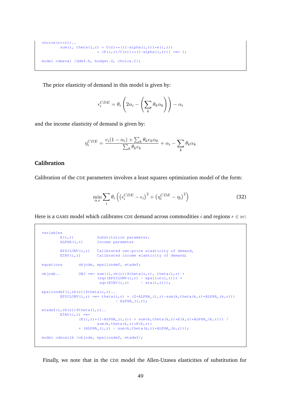```
choice(rc(r))..
      sum(i, theta(i,r) * U(r)**((1-alpha(i,r))*e(i,r))
                         * (P(i, r) / C(r)) * (1-\alpha 1pha(i, r)) = e= 1;
model cdeeval /ddef.D, budget.U, choice.C/;
```
The price elasticity of demand in this model is given by:

$$
\epsilon_i^{CDE} = \theta_i \left( 2\alpha_i - \left( \sum_k \theta_k \alpha_k \right) \right) - \alpha_i
$$

and the income elasticity of demand is given by:

$$
\eta_i^{CDE} = \frac{e_i(1 - \alpha_i) + \sum_k \theta_k e_k \alpha_k}{\sum_k \theta_k e_k} + \alpha_i - \sum_k \theta_k \alpha_k
$$

## **Calibration**

Calibration of the CDE parameters involves a least squares optimization model of the form:

$$
\min_{\alpha,e} \sum_{i} \theta_i \left( \left( \epsilon_i^{CDE} - \epsilon_i \right)^2 + \left( \eta_i^{CDE} - \eta_i \right)^2 \right) \tag{32}
$$

Here is a GAMS model which calibrates CDE demand across commodities i and regions  $r \in \text{rc}$ :

```
variables
        E(i, r) Substitution parameter,
        ALPHA(i, r) Income parameter
        EPSILONV(i, r) Calibrated own-price elasticity of demand,
        ETAV(i,r) Calibrated income elasticity of demand;
equations objcde, epsilondef, etadef;
objcde.. OBJ =e= sum((i,rb(r))$theta(i,r), theta(i,r) *
                       (sqr(EPSILONV(i, r) - epsilon(i, r))) +sqr(ETAV(i, r) - eta(i, r)));
epsilondef(i,rb(r))$theta(i,r)..
       EPSILONV(i,r) = e = theta(i,r) * (2*ALPHA_(i,r)-sum(k,theta(k,r)*ALPHA_(k,r)))
                              -LPHA(i,r);etadef(i,rb(r))$theta(i,r)..
       ETAV(i, r) =e=
               (E(i,r)*(1-ALPHA(i,r)) + sum(k,theta(k,r)*E(k,r)*ALPHA_{k}(k,r))) /
                       sum(k, t) theta(k, r) * E(k, r))
               + (ALPHA (i,r) - sum(k,theta(k,r)*A LPHA (k,r)));
model cdecalib /objcde, epsilondef, etadef/;
```
Finally, we note that in the CDE model the Allen-Uzawa elasticities of substitution for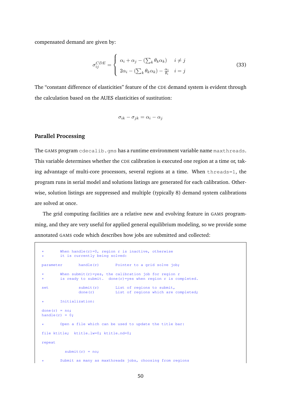compensated demand are given by:

$$
\sigma_{ij}^{CDE} = \begin{cases} \alpha_i + \alpha_j - (\sum_k \theta_k \alpha_k) & i \neq j \\ 2\alpha_i - (\sum_k \theta_k \alpha_k) - \frac{\alpha_i}{\theta_i} & i = j \end{cases}
$$
(33)

The "constant difference of elasticities" feature of the CDE demand system is evident through the calculation based on the AUES elasticities of sustitution:

$$
\sigma_{ik} - \sigma_{jk} = \alpha_i - \alpha_j
$$

## **Parallel Processing**

The GAMS program cdecalib.gms has a runtime environment variable name maxthreads. This variable determines whether the CDE calibration is executed one region at a time or, taking advantage of multi-core processors, several regions at a time. When threads=1, the program runs in serial model and solutions listings are generated for each calibration. Otherwise, solution listings are suppressed and multiple (typically 8) demand system calibrations are solved at once.

The grid computing facilities are a relative new and evolving feature in GAMS programming, and they are very useful for applied general equilibrium modeling, so we provide some annotated GAMS code which describes how jobs are submitted and collected:

```
When handle(r)=0, region r is inactive, otherwise
       it is currently being solved:
parameter handle(r) Pointer to a grid solve job;
       When submit(r)=yes, the calibration job for region r
       is ready to submit. done(r)=yes when region r is completed.
set submit(r) List of regions to submit,
             done(r) List of regions which are completed;
       Initialization:
done(r) = no;handle(r) = 0;
       Open a file which can be used to update the title bar:
file ktitle; ktitle.lw=0; ktitle.nd=0;
repeat
         submit(r) = no;Submit as many as maxthreads jobs, choosing from regions
```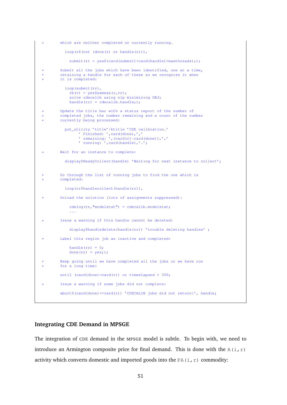```
which are neither completed or currently running.
         loop(r$(not (done(r) or handle(r))),
           submit(r) = yes$(card(submit)+card(handle)<maxthreads););
       Submit all the jobs which have been identified, one at a time,
       retaining a handle for each of these so we recognize it when
       it is completed:
         loop(submit(rr),
           rb(r) = yes$sameas(r,rr);
           solve cdecalib using nlp minimizing OBJ;
           handle(rr) = cdecalib.handle;);
* Update the title bar with a status report of the number of
       completed jobs, the number remaining and a count of the number
       currently being processed:
         put_utility 'title'/ktitle 'CDE calibration.'
                ' Finished: ',card(done),','
                ' remaining: ', \frac{1}{\pi} (card(r) -card(done)),','
               ' running: ',card(handle),'.';
* Wait for an instance to complete:
         display$ReadyCollect(handle) 'Waiting for next instance to collect';
       Go through the list of running jobs to find the one which is
       * completed:
         loop(rr$handlecollect(handle(rr)),
* Unload the solution (lots of assignments suppressed):
           cdelog(rr,"modelstat") = cdecalib.modelstat;
            ...
* Issue a warning if this handle cannot be deleted:
           display$handledelete(handle(rr)) 'trouble deleting handles' ;
       Label this region job as inactive and completed:
           handle(rr) = 0;done(rr) = yes;);
       Keep going until we have completed all the jobs or we have run
       for a long time:
       until (card(done)=card(r)) or timeelapsed > 300;
       Issue a warning if some jobs did not complete:
       abort$(card(done)<>card(r)) 'CDECALIB jobs did not return:', handle;
```
#### **Integrating CDE Demand in MPSGE**

The integration of CDE demand in the MPSGE model is subtle. To begin with, we need to introduce an Armington composite price for final demand. This is done with the A(i,r) activity which converts domestic and imported goods into the PA(i, r) commodity: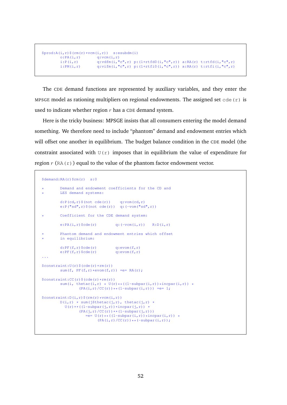```
$prod: A(i,r) $ (rm(r)*vcm(i,r)) $ s:esubdm(i)
       o:PA(i,r) q:vcm(i,r)
       i:P(i,r) q:vdfm(i,"c",r) p:(1+rtfd0(i,"c",r)) a:RA(r) t:rtfd(i,"c",r)
       i:PM(i,r) q:vifm(i, Tc",r) p:(1+rtfi0(i,Tc",r)) a:RA(r) t:rtfi(i,Tc",r)
```
The CDE demand functions are represented by auxiliary variables, and they enter the MPSGE model as rationing multipliers on regional endowments. The assigned set  $\text{cde}(r)$  is used to indicate whether region  $r$  has a CDE demand system.

Here is the tricky business: MPSGE insists that all consumers entering the model demand something. We therefore need to include "phantom" demand and endowment entries which will offset one another in equilibrium. The budget balance condition in the CDE model (the constraint associated with  $U(r)$  imposes that in equilibrium the value of expenditure for region  $r$  (RA(r)) equal to the value of the phantom factor endowment vector.

```
$demand:RA(r)$rm(r) s:0
       Demand and endowment coefficients for the CD and
      LES demand systems:
       d:P(cd,r) $ (not cde(r)) q:vom(cd, r)
       e:P("sd",r)$(not cde(r)) q:(-vom("sd",r))
       Coefficient for the CDE demand system:
       e:PA(i,r) \text{ Scde}(r) q:(-vcm(i,r)) R:D(i,r)* Phantom demand and endowment entries which offset
       in equilibrium:
        d:PF(f,r)$cde(r) q:evom(f,r)e:PF(f,r)$cde(r) q:evom(f,r)$constraint:U(r)$(cde(r)*rm(r))
       sum(f, PF(f,r)*evom(f,r)) = e= RA(r);
$constraint:CC(r)$(cde(r)*rm(r))
       sum(i, thetac(i,r) * U(r)**((1-subpar(i,r))*incpar(i,r)) *
                (PA(i, r) / CC(r)) ** (1-subpar(i, r))) =e= 1;
\text{Sconstraint:}D(i,r)\ (rm(r) *vcm(i,r))
       D(i, r) * sum(j$thetac(j,r), thetac(j,r) *
         U(r)**((1-subpar(j,r))*incpar(j,r)) *(PA(j,r)/CC(r))**(1-subpar(j,r)))=e= U(r) * (1-subpar(i,r)) * incpar(i,r)) *(PA(i,r)/CC(r))**(-subpar(i,r));
```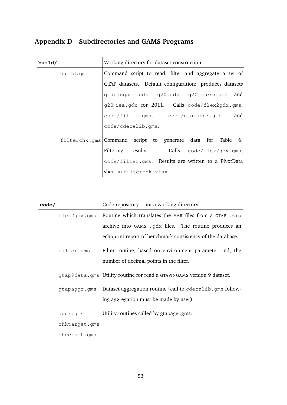# **Appendix D Subdirectories and GAMS Programs**

| build/ |           | Working directory for dataset construction.                |  |  |  |
|--------|-----------|------------------------------------------------------------|--|--|--|
|        | build.gms | Command script to read, filter and aggregate a set of      |  |  |  |
|        |           | GTAP datasets. Default configuration: produces datasets    |  |  |  |
|        |           | gtapingams.gdx, g20.gdx, g20_macro.gdx and                 |  |  |  |
|        |           | g20_iea.gdx for 2011. Calls code/flex2gdx.gms,             |  |  |  |
|        |           | code/filter.gms, code/gtapaggr.gms and                     |  |  |  |
|        |           | code/cdecalib.gms.                                         |  |  |  |
|        |           | filterchk.gms Command script to generate data for Table 6: |  |  |  |
|        |           | Filtering results. Calls code/flex2qdx.qms,                |  |  |  |
|        |           | code/filter.gms. Results are written to a PivotData        |  |  |  |
|        |           | sheet in filterchk.xlsx.                                   |  |  |  |

| code/ |               | Code repository - not a working directory.                                                         |
|-------|---------------|----------------------------------------------------------------------------------------------------|
|       | flex2gdx.gms  | Routine which translates the HAR files from a GTAP .zip                                            |
|       |               | archive into GAMS .gdx files. The routine produces an                                              |
|       |               | echoprint report of benchmark consistency of the database.                                         |
|       | filter.gms    | Filter routine, based on environment parameter –nd, the<br>number of decimal points in the filter. |
|       | qtap9data.qms | Utility routine for read a GTAPINGAMS version 9 dataset.                                           |
|       | gtapaggr.gms  | Dataset aggregation routine (call to cdecalib.gms follow-                                          |
|       |               | ing aggregation must be made by user).                                                             |
|       | aggr.gms      | Utility routines called by gtapaggr.gms.                                                           |
|       | chktarget.gms |                                                                                                    |
|       | checkset.gms  |                                                                                                    |
|       |               |                                                                                                    |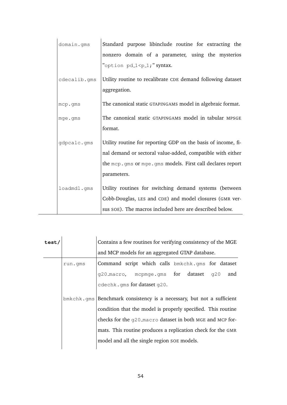| domain.gms   | Standard purpose libinclude routine for extracting the        |
|--------------|---------------------------------------------------------------|
|              | nonzero domain of a parameter, using the mysterios            |
|              | "option pd_1 <p_1;" syntax.<="" td=""></p_1;">                |
| cdecalib.gms | Utility routine to recalibrate CDE demand following dataset   |
|              | aggregation.                                                  |
| mcp.gms      | The canonical static GTAPINGAMS model in algebraic format.    |
| mge.gms      | The canonical static GTAPINGAMS model in tabular MPSGE        |
|              | format.                                                       |
| gdpcalc.gms  | Utility routine for reporting GDP on the basis of income, fi- |
|              | nal demand or sectoral value-added, compatible with either    |
|              | the mcp.gms or mge.gms models. First call declares report     |
|              | parameters.                                                   |
| loadmdl.gms  | Utility routines for switching demand systems (between        |
|              | Cobb-Douglas, LES and CDE) and model closures (GMR ver-       |
|              | sus SOE). The macros included here are described below.       |

| test/ |         | Contains a few routines for verifying consistency of the MGE                                             |  |  |  |  |
|-------|---------|----------------------------------------------------------------------------------------------------------|--|--|--|--|
|       |         | and MCP models for an aggregated GTAP database.                                                          |  |  |  |  |
|       | run.gms | Command script which calls bmkchk.gms for dataset                                                        |  |  |  |  |
|       |         | g20_macro, mcpmge.gms for dataset<br>and<br>q20                                                          |  |  |  |  |
|       |         | cdechk.gms for dataset q20.<br>$bmkchk . qms$ Benchmark consistency is a necessary, but not a sufficient |  |  |  |  |
|       |         |                                                                                                          |  |  |  |  |
|       |         | condition that the model is properly specified. This routine                                             |  |  |  |  |
|       |         | checks for the q20 macro dataset in both MGE and MCP for-                                                |  |  |  |  |
|       |         | mats. This routine produces a replication check for the GMR                                              |  |  |  |  |
|       |         | model and all the single region SOE models.                                                              |  |  |  |  |
|       |         |                                                                                                          |  |  |  |  |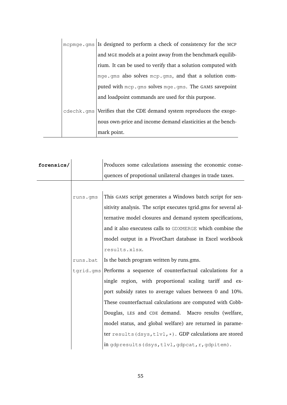|  | mcpmqe.qms Is designed to perform a check of consistency for the MCP |
|--|----------------------------------------------------------------------|
|  | and MGE models at a point away from the benchmark equilib-           |
|  | rium. It can be used to verify that a solution computed with         |
|  | mge.gms also solves mcp.gms, and that a solution com-                |
|  | puted with mcp.qms solves mqe.qms. The GAMS savepoint                |
|  | and loadpoint commands are used for this purpose.                    |
|  | cdechk.gms Verifies that the CDE demand system reproduces the exoge- |
|  | nous own-price and income demand elasticities at the bench-          |
|  | mark point.                                                          |

| forensics/ |          | Produces some calculations assessing the economic conse-           |  |  |
|------------|----------|--------------------------------------------------------------------|--|--|
|            |          | quences of propotional unilateral changes in trade taxes.          |  |  |
|            |          |                                                                    |  |  |
|            | runs.qms | This GAMS script generates a Windows batch script for sen-         |  |  |
|            |          | sitivity analysis. The script executes tgrid.gms for several al-   |  |  |
|            |          | ternative model closures and demand system specifications,         |  |  |
|            |          | and it also executess calls to GDXMERGE which combine the          |  |  |
|            |          | model output in a PivotChart database in Excel workbook            |  |  |
|            |          | results.xlsx.                                                      |  |  |
|            | runs.bat | Is the batch program written by runs.gms.                          |  |  |
|            |          | tgrid.gms Performs a sequence of counterfactual calculations for a |  |  |
|            |          | single region, with proportional scaling tariff and ex-            |  |  |
|            |          | port subsidy rates to average values between 0 and 10%.            |  |  |
|            |          | These counterfactual calculations are computed with Cobb-          |  |  |
|            |          | Douglas, LES and CDE demand. Macro results (welfare,               |  |  |
|            |          | model status, and global welfare) are returned in parame-          |  |  |
|            |          | ter results (dsys, tlvl, *). GDP calculations are stored           |  |  |
|            |          | in gdpresults (dsys, tlvl, gdpcat, r, gdpitem).                    |  |  |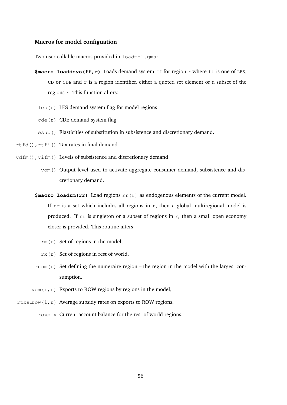#### **Macros for model configuation**

Two user-callable macros provided in loadmdl.gms:

- **\$macro loaddsys (ff, r)** Loads demand system ff for region r where ff is one of LES, CD or CDE and  $r$  is a region identifier, either a quoted set element or a subset of the regions  $r$ . This function alters:
- $\text{les}(r)$  LES demand system flag for model regions
- $cde(r)$  CDE demand system flag
- esub() Elasticities of substitution in subsistence and discretionary demand.
- rtfd(),rtfi() Tax rates in final demand
- vdfm(), vifm() Levels of subsistence and discretionary demand
	- vom() Output level used to activate aggregate consumer demand, subsistence and discretionary demand.
	- **\$macro loadrm(rr)** Load regions rr(r) as endogenous elements of the current model. If  $rr$  is a set which includes all regions in  $r$ , then a global multiregional model is produced. If  $rr$  is singleton or a subset of regions in r, then a small open economy closer is provided. This routine alters:
		- $rm(r)$  Set of regions in the model,
		- $rx(r)$  Set of regions in rest of world,
	- rnum(r) Set defining the numeraire region the region in the model with the largest consumption.
	- vem  $(i, r)$  Exports to ROW regions by regions in the model,
- rtxs\_row(i,r) Average subsidy rates on exports to ROW regions.

rowpfx Current account balance for the rest of world regions.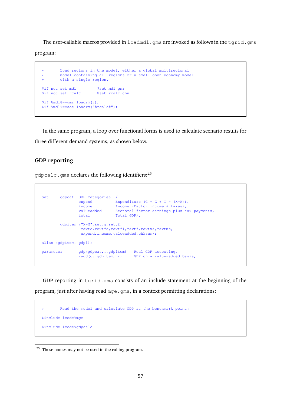The user-callable macros provided in loadmdl.gms are invoked as follows in the tgrid.gms program:

```
* Load regions in the model, either a global multiregional
* model containing all regions or a small open economy model
       with a single region.
$if not set mdl $set mdl gmr
$if not set rcalc $set rcalc chn
$if %mdl%==gmr loadrm(r);
$if %mdl%==soe loadrm("%rcalc%");
```
In the same program, a loop over functional forms is used to calculate scenario results for three different demand systems, as shown below.

## **GDP reporting**

 $qdpcalc$ . gms declares the following identifiers:<sup>[25](#page-58-0)</sup>

| set |           | gdpcat                 | GDP Categories<br>expend<br>income<br>valueadded<br>total                     | Total GDP/, | Expenditure $(C + G + I - (X-M))$ ,<br>Income (Factor income + taxes),<br>Sectoral factor earnings plus tax payments, |
|-----|-----------|------------------------|-------------------------------------------------------------------------------|-------------|-----------------------------------------------------------------------------------------------------------------------|
|     |           |                        | qdpitem $/\sqrt{X-M}$ , set.q, set.f,<br>expend, income, valueadded, chksum/; |             | revto, revtfd, revtfi, revtf, revtxs, revtms,                                                                         |
|     |           | alias (qdpitem, qdpi); |                                                                               |             |                                                                                                                       |
|     | parameter |                        | $qdp$ ( $qdpcat, \star, qdpitem$ )<br>vadd(q, qdpitem, r)                     |             | Real GDP accouting,<br>GDP on a value-added basis;                                                                    |

GDP reporting in tgrid.gms consists of an include statement at the beginning of the program, just after having read mge.gms, in a context permitting declarations:

<span id="page-58-0"></span>

<sup>&</sup>lt;sup>25</sup> These names may not be used in the calling program.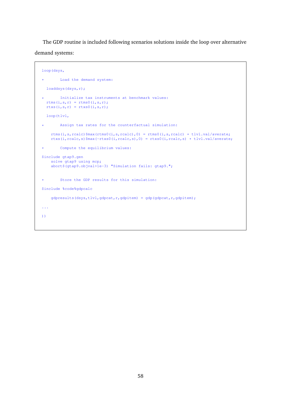The GDP routine is included following scenarios solutions inside the loop over alternative demand systems:

```
loop(dsys,
* Load the demand system:
  loaddsys(dsys,r);
       Initialize tax instruments at benchmark values:
  rtms(i, s, r) = rtms0(i, s, r);
  rtxs(i,s,r) = rtxs0(i,s,r);loop(tlvl,
* Assign tax rates for the counterfactual simulation:
    rtms(i,s,rcalc)$max(rtms0(i,s,rcalc),0) = rtms0(i,s,rcalc) * tlvl.val/averate;
    rtxs(i,rcalc,s)$max(-rtxs0(i,rcalc,s),0) = rtxs0(i,rcalc,s) * tlvl.val/averate;
* Compute the equilibrium values:
$include gtap9.gen
    solve gtap9 using mcp;
    abort$(gtap9.objval>1e-3) "Simulation fails: gtap9.";
* Store the GDP results for this simulation:
$include %code%gdpcalc
    gdpresults(dsys,tlvl,gdpcat,r,gdpitem) = gdp(gdpcat,r,gdpitem);
...
))
```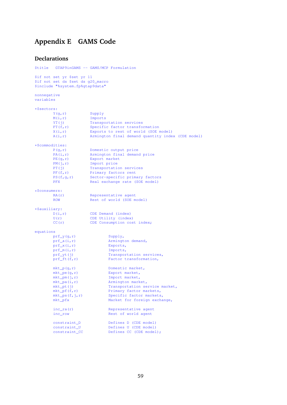# **Appendix E GAMS Code**

#### **Declarations**

```
$title GTAP9inGAMS -- GAMS/MCP Formulation
$if not set yr $set yr 11
\int is the \int in \int is the set ds q20 macro
$include "%system.fp%gtap9data"
nonnegative
variables
*$sectors:<br>Y(g,r)
       Y(g,r) Supply<br>
M(i,r) Import:
                      mports
       YT(j) Transportation services
        FT(f,r) Specific factor transformation
        X(i,r) Exports to rest of world (SOE model)
       A(i,r) Armington final demand quantity index (CDE model)
*$commodities:<br>P(g,r)
                     Domestic output price
        PA(i, r) Mrmington final demand price
        PE(g,r) Export market
        PM(j,r) Import price
        PT(j) Transportation services
        PF(f, r) Primary factors rent
        PS(f,q,r) Sector-specific primary factors
       PFX Real exchange rate (SOE model)
*$consumers:
                     Representative agent
       ROW Rest of world (SOE model)
*$auxiliary:<br>D(i,r)D(i,r) CDE Demand (index)
        U(r) CDE Utility (index)
       CC(r) CDE Consumption cost index;
equations
       prf_y(g,r) Supply,
       prf_a(i,r) Armington demand,
       prf_x(i,r) Exports,<br>prf_m(i,r) Exports,
       prf_m(i,r)
       prf_yt(j) Transportation services,
       prf_ft(f,r) Factor transformation,
       mkt_p(q,r) Domestic market,
        mkt_pe(g,r) Export market,
        mkt_pm(j,r) Import market,
       mkt_pa(i,r) Armington market,
       mkt_pt(j) Transportation service market,
       \frac{m}{2} (f,r) Primary factor markets,
       mkt_ps(f,j,r) Specific factor markets,
       mkt_pfx Market for foreign exchange,
       inc_ra(r) Representative agent
       inc_row Rest of world agent
       \begin{tabular}{ll} \multicolumn{1}{l}{{\small\texttt{constraint\_D}}} & \multicolumn{1}{l}{\small\texttt{Defines D (CDE model)}} \\ \multicolumn{1}{l}{\small\texttt{constraint\_U}} & \multicolumn{1}{l}{\small\texttt{Defines U (CDE model)}} \end{tabular}Defines U (CDE model)
       constraint_CC Defines CC (CDE model);
```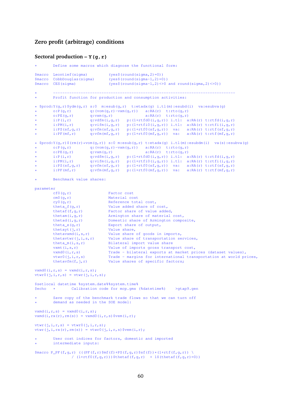#### **Zero profit (arbitrage) conditions**

#### **Sectoral production – Y(g,r)**

```
Define some macros which diagnose the functional form:
$macro Leontief(sigma) (yes$(round(sigma,2)=0))
$macro CobbDouglas(sigma) (yes$(round(sigma-1,2)=0))
$macro CES(sigma) (yes$(round(sigma-1,2)<>0 and round(sigma,2)<>0))
* -------------------------------------------------------------------------------
* Profit function for production and consumption activities:
* $prod:Y(g,r)$ydm(g,r) s:0 m:esub(g,r) t:etadx(g) i.tl(m):esubd(i) va:esubva(g)
* o:P(g,r) q:(vom(g,r)-vxm(g,r)) a:RA(r) t:rto(g,r)
* o:PE(g,r) q:vxm(g,r) a:RA(r) t:rto(g,r)
* i:P(i,r) q:vdfm(i,g,r) p:(l+rtfd0(i,g,r)) i.tl: a:RA(r) t:rtfd(i,g,r)
* i:PM(i,r) q:vifm(i,g,r) p:(1+rtfi0(i,g,r)) i.tl: a:RA(r) t:rtfi(i,g,r)
* i:PS(sf,g,r) q:vfm(sf,g,r) p:(1+rtf0(sf,g,r)) va: a:RA(r) t:rtf(sf,g,r)
* i:PF(mf, r) q:vfm(mf, g, r) p:(1+rtf0(mf, g, r) va: a:RA(r) t:rtf(mf, g, r)
* $prod(Y(G,r) \ S(rm(r)*vom(g,r)) \ s:0 \ m:esub(g,r) \ t:etadx(g) \ i.t1(m):esubdm(i) \ va(s):esubva(g) \ t \ n:10(m; r) \ a:RAC(r) \ t:rto(g,r)* o:P(g,r) q:(vom(g,r)-vxm(g,r)) a:RA(r) t:rto(g,r)
* o:PE(g,r) q:vxm(g,r) a:RA(r) t:rto(g,r)
* i:P(i,r) q:vdfm(i,g,r) p:(l+rtfd0(i,g,r)) i.tl: a:RA(r) t:rtfd(i,g,r)
* i:PM(i,r) q:vifm(i,g,r) p:(1+rtfi0(i,g,r)) i.tl: a:RA(r) t:rtfi(i,g,r)
* i:PS(sf,g,r) q:vfm(sf,g,r) p:(1+rtf0(sf,g,r)) va: a:RA(r) t:rtf(sf,g,r)
* i:PF(mf, r) q:vfm(mf, g, r) p:(1+rtf0(mf, g, r) va: a:RA(r) t:rtf(mf, g, r)
       Benchmark value shares:
parameter
       \text{cf0}(g,r) Factor cost<br>
\text{cm0}(g,r) Material co
                              Material cost
        cy0(g,r) Reference total cost,
       theta_f(g,r) Value added share of cost, \ntheta(f, a, r) Factor share of value addeFactor share of value added,
        thetam(i,g,r) Armington share of material cost,
        thetad(i,g,r) Domestic share of Armington composite,
       theta_e(g,r) Export share of output,
       thetayt(j, r) Value share,<br>thetavxmd(i, s, r) Value share
       thetavxmd(i,s,r) Value share of goods in imports,<br>thetavtwr(j,i,s,r) Value share of transportation se
                             Value share of transportation services,
       theta_m(i,s,r) Bilateral import value share
       vxmt(i,s,r) Value of imports gross transport cost,
       vxmd0(i,r,s) Trade - bilateral exports at market prices (dataset values),
       vtwr0(j,i,r,s) Trade - margins for international transportation at world prices,<br>thetavfm(f,j,r) Value shares of specific factors;
                              Value shares of specific factors;
vxmd0(i,r,s) = vxmd(i,r,s);vtwr0(j,i,r,s) = vtwr(j,i,r,s);$setlocal datetime %system.date%%system.time%
$echo * Calibration code for mcp.gms (%datetime%) >gtap9.gen
       Save copy of the benchmark trade flows so that we can turn off
       demand as needed in the SOE model:
vxmd(i,r,s) = vxmd0(i,r,s);vxmd(i,rx(r),rm(s)) = vxmd0(i,r,s)$vem(i,r);
vtwr(j,i,r,s) = vtwr0(j,i,r,s);vtwr(i,i,rx(r),rm(s)) = vtwr0(i,i,r,s)$vem(i,r);User cost indices for factors, domestic and imported
       intermediate inputs:
\frac{\sinh(\pi x)}{\sinh(\pi y)} ((PF(f,r)\sin(f)+PS(f,q,r)\sin(f)+(f))*(1+rtf(f,q,r)) \
                / (1+rtf(0(f,q,r)))$thetaf(f,q,r) + 1$(thetaf(f,q,r)=0))
```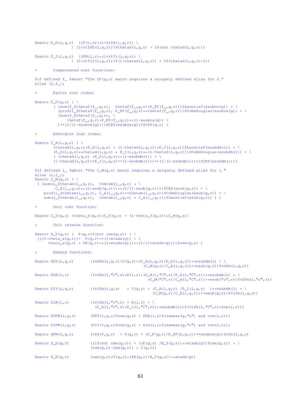```
\frac{\text{Smacro P_D}(i,q,r)}{\text{V}} ((P(i,r) *(1+rtfd(i,q,r)) \
                            /(1+rtfd(1,q,r)))$thetad(i,q,r) + 1$(not thetad(i,q,r)))
$macro P_I(i,g,r) ((PM(i,r) * (1+rtfi(i,q,r)) \
                           / (1+rtfi(0,i,g,r)))$(1-thetad(i,g,r)) + 1$(thetad(i,g,r)=1))
             Compensated cost functions:
$if defined f_ $abort "The CF(g, r) macro requires a uniquely defined alias for f."
alias (f, f_{-});
             Factor cost index:
$macro C_F(g,r) ( \setminus( (\text{sum}(f_{\text{min}}f_{\text{min}}f_{\text{max}}), \text{theta}(f_{\text{max}}f_{\text{max}}), \text{theta}(f_{\text{max}}f_{\text{max}}), \text{theta}(f_{\text{max}}), \text{theta}(f_{\text{max}}), \text{theta}(f_{\text{max}}), \text{theta}(f_{\text{max}}), \text{theta}(f_{\text{max}}), \text{theta}(f_{\text{max}}), \text{theta}(f_{\text{max}}), \text{theta}(f_{\text{max}}), \text{theta}(f_{\text{max}}), \text{theta}(f_{\text{max}}), \text{theta}(f_{\text{max}}), \text{theta}(f_{\(\text{prod}(f_{\text{in}}f_{\text{in}}f_{\text{in}}f_{\text{out}}), P_{\text{out}}(f_{\text{out}}f_{\text{out}}), \text{if } P_{\text{out}}(f_{\text{out}}f_{\text{out}}), P_{\text{out}}(f_{\text{out}}f_{\text{out}}), P_{\text{out}}(f_{\text{out}}f_{\text{out}}), P_{\text{out}}(f_{\text{out}}f_{\text{out}}), P_{\text{out}}(f_{\text{out}}f_{\text{out}}), P_{\text{out}}(f_{\text{out}}f_{\text{out}}), P_{\text{out}}(f_{\text{out}}f_{\text{(sum(f_{\text{in}} + \text{theta}(f_{\text{in}}, g, r)), \thetaf(f<sub>_,</sub>g,r)*P_PF(f_,g,r)**(1-esubva(g)) \
                 (* (1/(1-estubva(q))))$CES(esubva(g)))$cf0(g,r))
             Armington cost index:
$macro C_A(i,q,r) ( \
              (\theta_i, g, r) * P_P(i, q, r) + (1-\theta_i)d(i, q, r)) * P_I(i, q, r))$Leontief(esubdm(i)) + \
              (P_D(i,g,r)**theta(i,g,r) * P_I(i,g,r) **(1-thetad(i,g,r)))$CobbDouglas(esubdm(i)) + \
              ( (thetad(i,g,r) \starP_D(i,g,r)\star\star(1-esubdm(i)) + \
              (1-\text{theta}(i,g,r))*P_{I}(i,g,r)**(1-\text{esubdm}(i)))**(1/(1-\text{esubdm}(i))))$CES(esubdm(i)))
$if defined i_ $abort "The C_M(g,r) macro requires a uniquely defined alias for i."
alias (i,i_);
$macro C_M(g,r) ( \
  ( (\text{sum}(i_\text{in}$thetam(i<sub>,q,r</sub>), thetam(i<sub>,q,r)</sub> * \
              C_A(i_-,g,r)*(1-\text{esub}(g,r)))*(1/(1-\text{esub}(g,r))))$CES(esub(g,r)) + \
      \texttt{prod}(i_{-}\$theta,r), \ C_{-}A(i_{-},g,r) \star \star \texttt{theta}(i_{-},g,r)) \sum(i_$thetam(i_,g,r), thetam(i_,g,r) * C_A(i_,g,r))$Leontief(esub(g,r)) ) )
             Unit cost function:
$macro C_Y(q,r) (theta_f(g,r)*C_F(g,r) + (1-theta_f(g,r))*C_M(g,r))
             Unit revenue function:
\frac{1}{2} \frac{1}{2} \frac{1}{2} \frac{1}{2} \frac{1}{2} \frac{1}{2} \frac{1}{2} \frac{1}{2} \frac{1}{2} \frac{1}{2} \frac{1}{2} \frac{1}{2} \frac{1}{2} \frac{1}{2} \frac{1}{2} \frac{1}{2} \frac{1}{2} \frac{1}{2} \frac{1}{2} \frac{1}{2} \frac{1}{2} \frac{1}{2} (( (1-\text{theta}_e(g,r)) * P(g,r) * (1+\text{theta}_g(g)) + \lambdatheta_e(g,r) * PE(g,r) * * (1+etadx(g))) * * (1/(1+etadx(g)))) \frac{1}{2}vxm(g,r))
             Demand functions:
$macro DDY(i,g,r) ((vdfm(i,g,r)*Y(g,r)*(C_A(i,g,r)/P_D(i,g,r))***e subdm(i) * \n)(C_M(g,r)/C_A(i,g,r))**esub(g,r))$vdfm(i,g,r))
\frac{\pi}{2} $macro DDA(i,r) ((vdfm(i,<sup>n</sup>C",r)*A(i,r)*(C_A(i,<sup>n</sup>C",r)/P_D(i,<sup>n</sup>C",r))**esubdm(i) * \
                                                                                   (C_M("C", r) / C_A(i, "C", r)) **esub("c",r))$vdfm(i,"c",r))
\frac{1}{2}$macro DIY(i,q,r) ((vifm(i,q,r) * Y(q,r) * (C_A(i,q,r) /P_I(i,q,r) )**esubdm(i) * \
                                                                                       (C_M(a,r)/C_A(i,a,r))**esub(g,r))$vifm(i,g,r))
$macro DIA(i,r) ((\text{vifm}(i, "c", r) \ * A(i, r) \ * \ )(C_A(i, "C", r)/P_1(i, "C", r))**esubdm(i))$(vifm(i,"C",r)*vcm(i,r)))
\frac{\gamma_{\text{macro}}}{\gamma_{\text{macro}}}\ (DDY(i,q,r) \frac{\gamma_{\text{pop}}}{\gamma_{\text{pop}}}\vom(q,r) + DDA(i,r) \frac{\gamma_{\text{old}}}{\gamma_{\text{old}}}\ (sameas(q,"c") and vcm(i,r)))
$macro DIFM(i,g,r) (DIY(i,g,r)$vom(g,r) + DIA(i,r)$(sameas(g,"c") and vcm(i,r)))
\frac{1}{2}$macro DFM(f,g,r) (vfm(f,g,r) * Y(g,r) * (C_F(g,r)/P_PF(f,g,r))**esubva(g))$vfm(f,g,r)
\frac{\pi}{2} \left(\frac{1}{2}\left(\frac{1}{2}\left(\frac{1}{2}\left(\frac{1}{2} - \frac{1}{2}\right)\right) + \left(\frac{P(q, r)}{R_2(q, r)}\right)\right) \cdot \left(\frac{1}{2}\left(\frac{1}{2}\left(\frac{1}{2}\right)\right) + \left(\frac{P(q, r)}{R_2(q, r)}\right) \right) \cdot \left(\frac{1}{2}\left(\frac{1}{2}\left(\frac{1}{2}\right)\right) \cdot \left(\frac{1}{2}\left(\frac{1}{2}\right)\right) \cdot \left(\frac{1}{2}\left(\frac{1}{2}\right)\right) \cdot \left(\frac{1(\text{vom}(q, r) - \text{vxm}(q, r)) \times Y(q, r)\text{Smacro } S E(q,r) (vxm(q,r)*Y(q,r)*(PE(q,r)/R_Y(q,r))**etadx(q))
```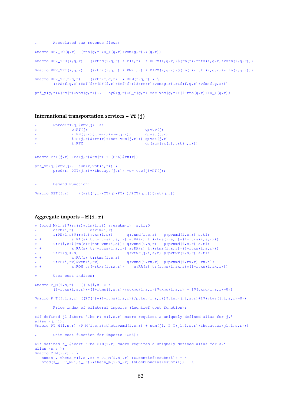```
Associated tax revenue flows:
$macro REV TO(\alpha,r) (rto(\alpha,r)*RY(\alpha,r)*V(\alpha,r)*Y(\alpha,r)))
\frac{\gamma_{\text{macro}}}{\gamma_{\text{macro}}}\ (i,g,r) ((rtfd(i,g,r) \star P(i,r) \star DDFM(i,g,r))\frac{\gamma_{\text{r}}}{\gamma_{\text{r}}} (rm(r)\starrtfd(i,g,r)\starvdfm(i,g,r)))
\frac{1}{2} $macro REV_TFI(i,g,r) ((rtfi(i,g,r) * PM(i,r) * DIFM(i,g,r))$(rm(r)*rtfi(i,g,r)*vifm(i,g,r)))
$macro REV_TF(f,g,r) ((rtf(f,g,r) * DFM(f,g,r) * \
          ((PS(f,q,r))$sf(f)+(PF(f,r))$mf(f)))$(rm(r)*vom(q,r)*rtf(f,q,r)*vfm(f,q,r)))
prf_y(q,r)\ (rm(r) *vom(q,r)).. cy0(q,r) *C_Y(q,r) =e= vom(q,r) *(1-rto(q,r)) *R_Y(q,r);
```
### **International transportation services – YT(j)**

```
$prod:YT(j)$$vtw(j) s:1<br>o:PT(i)
* o:PT(j) q:vtw(j)<br>* i:PE(i,r)$(rm(r)*vxm(i,r)) q:vtw(j)
                 i:PE(j,r) (rm(r)*vxm(j,r))i:P(j,r)$(rm(r)*(not vxm(j,r))) q:vst(j,r)<br>i:PFX q:(sum(rx(
                                                     q: (sum(rx(r),vst(j,r)))$macro PYT(j,r) (PX(j,r)$rm(r) + (PFX)$rx(r))
prf_yt(j)$vtw(j).. sum(r, vst(j, r)) *
        prod(r, PYT(j,r)**thetayt(j,r)) =e= vtw(j)*PT(j);
        Demand Function:
```
 $\frac{\text{Smacro } DIST(j,r)}{\text{V}}$  ((vst(j,r) \*YT(j)\*PT(j)/PYT(j,r)) $\frac{\text{Svst}}{\text{V}}$ 

#### **Aggregate imports – M(i,r)**

```
* $prod(M(i,r) $(rm(r) * vim(i,r)) $ is is subm(i) $ s.t1:0$<br>* 0:PM(i.r) g: vim(i,r)* o:PM(i, r) q:vim(i,r)<br>* i:PE(i, s) $ (rm(s) *vxm(i,s))
                                                 q: v \times md(i,s,r) p:pvxmd(i,s,r) s.tl:
* + a:RA(s) t:(-rtxs(i,s,r)) a:RA(r) t:(rtms(i,s,r)*(1-rtxs(i,s,r)))
* i:P(i,s)$(rm(s)*(not vxm(i,s))) q:vxmd(i,s,r) p:pvxmd(i,s,r) s.tl:<br>* + a:RA(s) t:(-rtxs(i,s,r)) a:RA(r) t:(rtms(i,s,r)*(1-rtxs(i,s)
                   a:RA(s) t:(-rtxs(i,s,r)) a:RA(r) t:(rtms(i,s,r)*(1-rtxs(i,s,r)))
\begin{array}{lll} \star \quad & \text{ i:PT(j)}\#(\text{s}) & \text{ q:vtwr(j,i,s,r) p:pvtwr(i,s,r) s.tl: } \\ \star + & \text{ a:RA(r) t:rtms(i, s, r)} \end{array}a:RA(r) t:rtms(i,s,r)<br>i:PE(i,rx)$vem(i,rx)
* i:PE(i,rx)$vem(i,rx) q:vxmd(i,rx,r) p:pvxmd(i,rx,r) rx.tl:<br>* + a:ROW t:(-rtxs(i,rx,r)) a:RA(r) t:(rtms(i,rx,r)*(1-rtxs(i,r
                                                     \overrightarrow{a:RA(r)} t:(rtms(i,rx,r) *(1-rtxs(i,rx,r)))
         User cost indices:
$macro P_M(i,s,r) ((PX(i,s) * \(1-rtxs(i,s,r)) * (1+rtms(i,s,r))/pvxmd(i,s,r)) $vxmd(i,s,r) + 1$(vxmd(i,s,r)=0)
$macro P_T(j,i,s,r) ((PT(j)*(1+rtms(i,s,r))/pvtwr(i,s,r))$vtwr(j,i,s,r)+1$(vtwr(j,i,s,r)=0))
         Price index of bilateral imports (Leontief cost function):
$if defined j1 $abort "The PT_M(i,s,r) macro requires a uniquely defined alias for j."
alias (i, i1):
$macro PT_M(i,s,r) (P_M(i,s,r) * \theta(x, s,r)) + sum(j1, P_T(j1,i,s,r) * \theta(x, s, s, s, s, s)))
         Unit cost function for imports (CES):
$if defined s_ $abort "The CIM(i, r) macro requires a uniquely defined alias for s."
alias (s,s_);
$macro CIM(i, r) ( \setminussum(s_, theta_m(i,s_,r) * PT_M(i,s_,r) )$Leontief(esubm(i)) + \
   \text{prod}(s_-, PT_M(i,s_-,r) \star \star \text{theta\_m}(i,s_-,r) )$CobbDouglas(esubm(i)) + \
```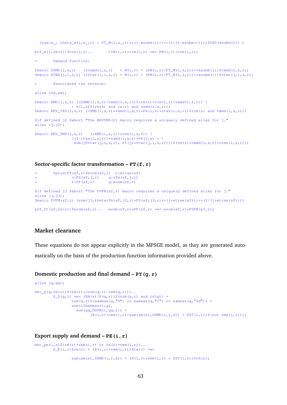```
(\text{sum}(s_-, \text{theta}_m(i,s_-,r) \times PT_M(i,s_-,r) \times ((1-\text{esubm}(i)) \times ((1-\text{esubm}(i)))) \times (ES(\text{esubm}(i)))prf_m(i,rm(r))$vim(i,r).. CIM(i,r)*vim(i,r) =e= PM(i,r)*vim(i,r);
         Demand function:
\frac{\gamma_{\text{max}}}{\gamma_{\text{max}}}(i,s,r) ((vxmd(i,s,r) * M(i,r) * (PM(i,r)/PT_M(i,s,r))**esubm(i))\gamma_{\text{max}}(i,s,r))
\frac{1}{2}$macro DTWR(j,i,s,r) ((vtwr(j,i,s,r) * M(i,r) * (PM(i,r)/PT_M(i,s,r))**esubm(i))$vtwr(j,i,s,r))
         Associated tax revenue:
alias (rm,sm);
$macro XMD(i,s,r) ((DXMD(i,s,r)/vxmd(i,s,r))$(rm(r)*vim(i,r)*vxmd(i,s,r)) \
                  + X(i,s)$(rm(s) and rx(r) and vxmd(i,s,r)))
\frac{1}{2}$macro REV_TXS(i,s,r) ((XMD(i,s,r)*vxmd(i,s,r)*PX(i,s)*rtxs(i,s,r))$(rm(s) and vxmd(i,s,r)))
$if defined j2 $abort "The REVTMS(r) macro requires a uniquely defined alias for j."
alias (j, j2);
$macro REV_TMS(i,s,r) ((XMD(i,s,r)*rtms(i,s,r)* \
                  ((1-rtxs(i,s,r)) *vxmd(i,s,r) *PX(i,s) + \
                   sum(j$vtwr(j,i,s,r), PT(j)*vtwr(j,i,s,r))))$(rm(r)*vxmd(i,s,r)*rtms(i,s,r)))
```
#### **Sector-specific factor transformation – FT(f,r)**

```
* $prod:FT(sf,r)$evom(sf,r) t:etrae(sf)
                o:PS(sf,j,r) q:vfm(sf,j,r)<br>i:PF(sf,r) q:evom(sf,r)
                                 q:evom(sf,r)
$if defined j3 $abort "The PVFM(sf,r) macro requires a uniquely defined alias for j."
alias (j, j3);$macro PVFM(sf,r) (sum(j3,thetavfm(sf,j3,r)*PS(sf,j3,r)**(1+etrae(sf)))**(1/(1+etrae(sf))))
prf ft(sf,rm(r))$evom(sf,r).. evom(sf,r)*PF(sf,r) =e= evom(sf,r)*PVFM(sf,r);
```
## **Market clearance**

These equations do not appear explicitly in the MPSGE model, as they are generated auto-

matically on the basis of the production function information provided above.

## **Domestic production and final demand – PY(g,r)**

```
alias (g,gg);
mkt_p(q,rm(r))$(rm(r)*(vom(q,r)-vxm(q,r)))..
        S_D(g, r) = e = (RA(r)/P(g, r))$(vom(g, r) and cd(g)) +
                 vom(q, r)$(sameas(q,"G") or sameas(q,"I") or sameas(q,"sd")) +
                 sum(i$sameas(i,q),
                   sum(qq, DDFM(i, qq, r)) +
                          (X(i, r) * vem(i, r) + sum(sm(s), DXML(i, r, s)) + DST(i, r)) (3m(i, r));
```
**Export supply and demand – PE(i,r)**

```
mkt_pe(i,r)$(rm(r)*vxm(i,r) or rx(r)*vem(i,r))..
        S_E(i, r)$rm(r) + (X(i,r)*vem(i,r))$rx(r) =e=
                 sum(\text{sm}(s),\text{DXMD}(i,r,s)) + (X(i,r)*vem(i,r) + DST(i,r))$rm(r);
```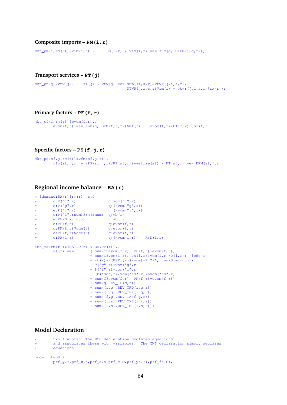#### **Composite imports – PM(i,r)**

 $mkt\_pm(i,rm(r))$ \$vim $(i,r)$ .  $M(i,r)$  \* vim $(i,r)$  =e= sum(g, DIFM $(i,g,r)$ );

#### **Transport services – PT(j)**

 $mkt_pt(j)\$ \$vtw(j).. YT(j) \* vtw(j) =e= sum((i,s,r)\$vtwr(j,i,s,r),  $DTWR(j,i,s,r)$ \$rm(r) + vtwr(j,i,s,r)\$rx(r));

#### **Primary factors – PF(f,r)**

```
mkt_p f(f,rm(r))$evom(f,r)..
        evom(f,r) = e = sum(j, DFM(f,j,r))$mf(f) + (evom(f,r)*FT(f,r))$sf(f);
```
#### **Specific factors – PS(f,j,r)**

```
mkt_p s(sf, j, rm(r))$vfm(sf, j, r)..
        vfm(sf, j, r) * (PS(sf,j,r)/PF(sf,r))**etrae(sf) * FT(sf,r) = e= DFM(sf,j,r);
```
#### **Regional income balance – RA(r)**

```
*$demand:RA(r)$rm(r) s:0<br>* d:P("c",r)
          \begin{array}{lll} \texttt{d:P("c",r)} & \texttt{q:vom("c",r)} \\ \texttt{e:P("g",r)} & \texttt{q: (-vom("g",r)} \\ \texttt{e:P("i",r)} & \texttt{q: (-vom("i",r)} \\ \end{array}* e:P("g",r) q:(-vom("g",r))
* e:P("i",r) q: (-vom("i",r))e:P("i",rnum)$rm(rnum) q:vb(r)
          e:PFX$rx(rnum) q:vb(r)<br>e:PF(f,r) q:evom(
                                         q:evom(f,r)<br>q:evom(f,r)
         d:PF(f, r) \, \xi \, \text{cde}(r) q:evom(f,r)<br>e:PF(f,r)\xi \, \text{cde}(r) q:evom(f,r)
          e: PF(f,r)$cde(r)<br>e: PA(i,r)
                                          q:(-vcm(i,r)) R:D(i,r)
inc\_ra(rm(r))$(RA.LO(r) < RA.UP(r))..
          RA(r) = e= ( sum (f\phat evom(f,r), PF(f,r) * evom(f,r))
                                - sum(i\forall x \in \mathbb{R}), PA(i,r)*vcm(i,r)*D(i,r)) )\forall x \in \mathbb{R}+ vb(r)*((PFX)$rx(rnum)+P("i",rnum)$rm(rnum))
                                - P("g", r) * vom("g", r)- P("i",r)*vom("i",r)- (P("sd",r)*vom("sd",r))$vom("sd",r)
                                + sum(f\xievom(f,r), PF(f,r)*evom(f,r))
                                + \text{sum}(q, REV\_TO(q, r))+ sum((i,g),REV_TFD(i,g,r))
                                + sum((i,g),REV_TFI(i,g,r))
                                + sum((f,g),REV_TF(f,g,r))- sum((i,s), REV_TXS(i,r,s))
                                + sum((i,s),REV_TMS(i,s,r));
```
#### **Model Declaration**

```
Two flavors: The MCP declaration declares equations
```

```
and associates these with variables. The CNS declaration simply declares
```

```
equations:
```

```
model gtap9 /
        prf_y.Y,prf_x.X,prf_a.A,prf_m.M,prf_yt.YT,prf_ft.FT,
```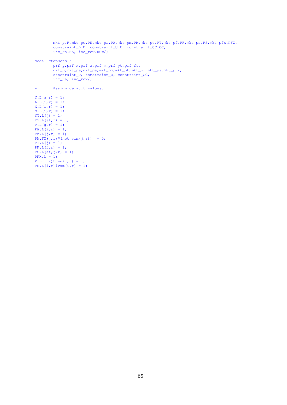```
mkt_p.P,mkt_pe.PE,mkt_pa.PA,mkt_pm.PM,mkt_pt.PT,mkt_pf.PF,mkt_ps.PS,mkt_pfx.PFX,
        constraint_D.D, constraint_U.U, constraint_CC.CC,
        inc_ra.RA, inc_row.ROW/;
model gtap9cns /
        prf_y,prf_x,prf_a,prf_m,prf_yt,prf_ft,
        mkt_p,mkt_pe,mkt_pa,mkt_pm,mkt_pt,mkt_pf,mkt_ps,mkt_pfx,
        constraint_D, constraint_U, constraint_CC,
        inc_ra, inc_row/;
* Assign default values:
Y.L(g,r) = 1;A.L(i,r) = 1;X.L(i,r) = 1;M.L(i,r) = 1;YT.L(j) = 1;FT.L(sf,r) = 1;P.L(q, r) = 1;PA.L(i, r) = 1;PM.L(j,r) = 1;PM.FX(j, r)$(not vim(j,r)) = 0;
PT.L(j) = 1;PF.L(f,r) = 1;PS.L(sf,j,r) = 1;
```
 $PFX.L = 1;$ 

 $X.L(i, r)$  \$vem $(i, r) = 1;$ PE.  $L(i, r)$ \$vxm $(i, r) = 1$ ;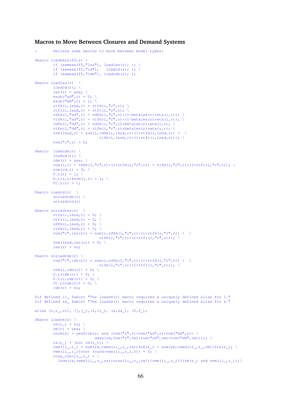#### **Macros to Move Between Closures and Demand Systems**

```
Declare some macros to move between model types:
$macro loaddsys(ff,r) \
        if (sameas(ff, "les"), loadles(r); ); \
         if (sameas(ff,"cd"), loadcd(r); ); \
         if (sameas(ff,"cde"), loadcde(r); );
$macro loadles(r) \
        load(r); \ \ \ \ \ \ \les(r) = yes; \ \ \n\veeesub("sd", r) = 0; \
        esub("dd", r) = 1; \
         rtfd(i, lead, r) = rtfd(i, "c", r); \ \ \nrtfi(i, lesd, r) = rtfi(i, "c", r); \
        vdfm(i,"sd",r) = vdfm(i,"c",r) *(1-betales(r) *eta(i,r)); \
         vifm(i,"sd",r) = vifm(i,"c",r)*(1-betales(r)*eta(i,r)); \
         vdfm(i,"dd",r) = vdfm(i,"c",r)*betales(r)*eta(i,r); \
        vifm(i,"dd",r) = vifm(i,"c",r)*betales(r)*eta(i,r); \
        vom(lesd,r) = sum(i,vdfm(i,lesd,r)*(1+rtfd(i,lesd,r)) + \
                              vifm(i,lesd,r)*(1+rtfi(i,lesd,r))); \
        vom("c", r) = 0;$macro loadcde(r) \
        loadcd(r); \
        cde(r) = yes; \ \ \nvcm(i,r) = vdfm(i,"c",r) *(1+rtfd(i,"c",r)) + vifm(i,"c",r) *(1+rtfi(i,"c",r)); \
        vom(cd, r) = 0; \setminusU.L(r) = 1; \ \ \ \ \ \D.L(i,r) $vcm(i,r) = 1; \ \ \ \ \CC.L(r) = 1;$macro loaded(r) \ \ \ \ \}unloadcde(r)unloadles(r)
$macro unloadles(r) \
        rtfd(i,lead,r) = 0; \ \ \forallrtfi(i, lesd, r) = 0; \setminusvdfm(i, lead, r) = 0; \ \ \ \ \vifm(i,lesd,r) = 0; \
        vom("c",les(r)) = sum(i,vdfm(i,"c",r)*(1+rtfd(i,"c",r)) + \
                              vifm(i,"c",r)*(1+rtfi(i,"c",r))); \
        vom(lesd, les(r)) = 0; \
        \text{les}(r) = no;$macro unloadcde(r) \
        vom("c",cde(r)) = sum(i,vdfm(i,"c",r)*(1+rtfd(i,"c",r)) + \
                              vifm(i,"c",r)*(1+rtfi(i,"c",r))); \
        vcm(i, cde(r)) = 0; \ \ \ \ \ \U.L(cde(r)) = 0; \ \ \ \ \D.L(i, cde(r)) = 0; \ \ \ \ \ \CC.L(cde(r)) = 0; \
        cde(r) = no;
$if defined ii_ $abort "The loadrm(r) macro requires a uniquely defined alias for i."
$if defined ss $abort "The loadrm(r) macro requires a uniquely defined alias for s."
alias (r, r_-, rr), (j, j_-), (i, ii_-), (s, ss_-), (f, f_-);$macro loadrm(r) \
         rm(r = no; \
         rm(r) = yes; \ \ \nrnum(r) = yes$(rm(r) and (vom("c",r)+vom("sd",r)+vom("dd",r)= \
                            smax(rm,vom("c",rm)+vom("sd",rm)+vom("dd",rm)))); \
        rx(r_{-}) = (not rm(r_{-}));vem(ii_,r_) = sum(rx,vxmd(ii_,r_,rx))$rm(r_) + sum(rm,vxmd(ii_,r_,rm))$rx(r_); \
        vem(ii_,r_)$(not round(vem(ii_,r_),5)) = 0; \
        rtxs_row(ii_,r_) = \
           (\text{sum}(rx,vxmd(ii_r,r_r,rx)*rtxs(ii_r,r_r,rx))/\text{vem}(ii_r,r_r)); (\text{rm}(r_r)) and \text{vem}(ii_r,r_r));
```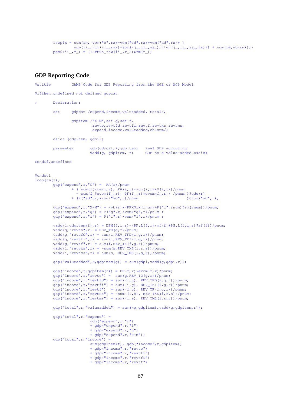```
rowpfx = sum(rx, vom("c", rx) + vom("sd", rx) + vom("dd", rx) + \sqrt{ }sum(i,j,rx)+sum((i,rx)) +sum((j,jii_,ss_),vtwr(j,jii_,ss_,rx))) + sum(rm,vb(rm));
pem0(i_i_r r) = (1 - rtxs_row(i_i_r r))$rm(r_i);
```
#### **GDP Reporting Code**

\$stitle GAMS Code for GDP Reporting from the MGE or MCP Model \$ifthen.undefined not defined gdpcat Declaration: set gdpcat /expend, income, valueadded, total/, gdpitem /"X-M",set.g,set.f, revto, revtfd, revtfi, revtf, revtxs, revtms, expend, income, valueadded, chksum/; alias (gdpitem, gdpi); parameter gdp(gdpcat, \*, gdpitem) Real GDP accouting<br>vadd(g, gdpitem, r) GDP on a value-add GDP on a value-added basis; \$endif.undefined \$ondotl loop(rm(r),  $qdp("expand",r,"C") = RA(r)/pnum$ + ( sum(i\$vcm(i,r), PA(i,r)\*vcm(i,r)\*D(i,r))/pnum  $\text{sum}(f_{\text{new}}(f_{\text{new}}), \text{PF}(f_{\text{new}}))$  /pnum )\$cde(r)<br>P("sd",r)\*vom("sd",r)/pnum )\$vom("sd",r);  $+$  (P("sd",r)\*vom("sd",r)/pnum gdp("expend",r,"X-M") = -vb(r)\*(PFX\$rx(rnum)+P("i",rnum)\$rm(rnum))/pnum; gdp("expend",r,"g") =  $P("g", r) * v$ om("g",r)/pnum ; gdp("expend",r,"i") = P("i",r)\*vom("i",r)/pnum ;

```
vadd(i,qdpitem(f),r) = DFM(f,i,r)*(PF.L(f,r)*mff(f)+PS.L(f,i,r)$sf(f))/pnum;
vadd(g, "revto", r) = REV_TO(g, r)/pnum;
vadd(g,"revtfd",r) = sum(i,REV_TFD(i,g,r))/pnum;
vadd(g, "revtfi", r) = sum(i, REV_TFI(i,g,r))/pnum;vadd(g, "revtf", r) = sum(f, REV_TF(f, g, r))/pnum;
vadd(i, "revtxs", r) = -sum(s, REV_TXS(i, r, s)) / pnum;vadd(i, "returns",r) = sum(s, REV_TMS(i,s,r))/pnum;
```
 $qdp("valueadded", r, qdpitem(q)) = sum(qdpi, vadd(q, qdpi, r));$ 

```
gdp("income",r,gdpitem(f)) = PF(f,r)*evom(f,r)/pnum;gdp("income",r,"revto") = sum(g, REV_TO(g,r))/pnum;\text{qdp}(\text{"income}\text{''},r,\text{"revtfd") = \text{sum}((i,q),\text{REV\_TFD}(i,q,r))/\text{pnum};gdp("income",r,"revtfi") = sum((i,g), REV_TFI(i,g,r))/pnum;gdp("income",r,"revtf") = sum((f,g), REV_TF(f,g,r))/pnum;gdp("income",r,r"revtxs") = -sum((i,s), REV_TXS(i,r,s))/pnum;\frac{1}{\alpha} ("income",r,"revtms") = sum((i,s), REV_TMS(i,s,r))/pnum;
gdp("total",r," value added") = sum((q,qdpitch)",vadd(q,qdpitch)');gdp("total",r,"expend") =
                 gdp("expend",r,"c")
                 + gdp("expend",r,"i")
                 + gdp("expend",r,"g")
                 + gdp("expend",r,"x-m");
qdp("total",r,"income") =sum(gdpitem(f), gdp("income", r, gdpitem))
                  + gdp("income",r,"revto")
                  + gdp("income",r,"revtfd")
                 + gdp("income",r,"revtfi")
                 + gdp("income",r,"revtf")
```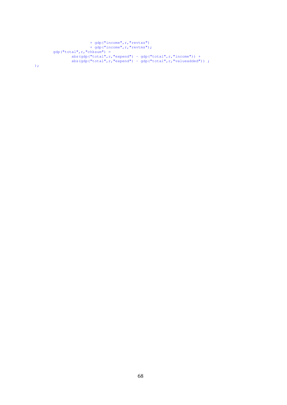```
+ gdp("income", r, "revtxs")
                + gdp("income", r, "revtms");
qdp("total",r,"chksum") =abs(gdp("total",r,"expend") - gdp("total",r,"income")) +
        abs(gdp("total",r,"expend") - gdp("total",r,"valueadded"));
```
);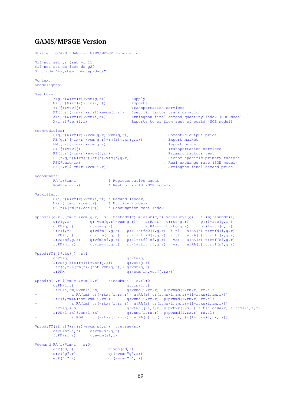## **GAMS/MPSGE Version**

```
$title GTAP9inGAMS -- GAMS/MPSGE Formulation
$if not set yr $set yr 11
$if not set ds $set ds q20
$include "%system.fp%gtap9data"
$ontext
$model:gtap9
$sectors:
         Y(g, r) $(rm(r)*vom(g,r)) <br>
M(i, r) $(rm(r)*vim(i,r)) <br>
! Imports
         M(i, r) $ (rm(r) *vim(i,r))<br>
YT(j) $vtw(j)
                                               ! Transportation services
         FT(f,r)$(rm(r)*sf(f)*evom(f,r)) ! Specific factor transformation
         A(i,r)$(rm(r)*vcm(i,r)) <br>X(i,r)$vem(i,r) <br> Exports to or from rest of world (SOE model)
                                              ! Exports to or from rest of world (SOE model)
$commodities:
         P(q,r)$(rm(r)*(vom(g,r)-vxm(g,r))) <br>PE(q,r)$(rx(r)*vem(q,r)+rm(r)*vxm(g,r)) <br>! Export market
         PE(g,r)$(rx(r)*vem(g,r)+rm(r)*vxm(g,r)) ! Export market
         PM(j,r)$ (rm(r)*vim(j,r))<br>PT(j)$vtw(j)! Transportation services
         PF(f,r)$(rm(r)*evom(f,r)) <br>
PS(f,q,r)$(rm(r)*sf(f)*vfm(f,q,r)) <br>
98(f,q,r)$(rm(r)*sf(f)*vfm(f,q,r)) <br>
98(f,q,r)$(rm(r)*sf(f)*vfm(f,q,r)) <br>
98(f,q,r)$(rm(r)*sf(f)*vfm(f,q,r)) <br>
98(f,q,r)$(rm)*sf(f)*vfm(f,q,r)) <br>
98(f)*sector-
         PS(f,g,r)$(rm(r)*sf(f)*vfm(f,g,r))<br>PEXScard(rx)
                                                                 Peal exchange rate (SOE model)
         PA(i,r)$(rm(r)*vcm(i,r)) ! Armington final demand price
$consumers:
         RA(r)$rm(r) <br>ROW$card(rx) <br> ! Rest of world (SOE m
                                    ! Rest of world (SOE model)
$auxiliary:
         D(i,r)$(rm(r)*vcm(i,r)) ! Demand (index)
         U(r)$(rm(r)*cde(r)) ! Utility (index)
         CC(r)$(rm(r)*cde(r)) ! Consumption cost index
$prod(Y(g,r)\$(rm(r)*vom(g,r))\ s:0 \ t:\text{etadx}(g) \ m:\text{csub}(g,r) \ v:\text{csubva}(g) \ i.t1(m):\text{csubdm}(i) \ o:\text{P}(g,r) \ q:\text{tvom}(g,r)-v \text{cm}(g,r)) \ a:\text{RA}(r) \ t:\text{rto}(g,r) \ v:\text{1-tro}(g,r))o:P(q, r) q:(vom(q,r)-vxm(q,r)) a:RA(r) t:rto(q,r) p:(1-rto(q,r))
         o:PE(g,r) q:vxm(g, r) a:RA(r) t:rto(g, r) p:(1-rto(g, r))
         i:P(i,r) q:vdfm(i,g,r) p:(1+rtfd0(i,g,r)) i.tl: a:RA(r) t:rtfd(i,g,r)
         i:PM(i,r) q:vlfm(i,q,r) p:(1+rtfi0(i,g,r)) i.tl: a:RA(r) t:rtfi(i,g,r)
         i:PS(sf,q,r) q:vfm(sf,q,r) p:(1+rtf0(sf,q,r)) va: a:RA(r) t:rtf(sf,q,r)
         i:PF(mf, r) q:vfm(mf, g, r) p:(1+rtf0(mf, g, r)) va: a:RA(r) t:rtf(mf, g, r)
$prod:YT(j)$vtw(j) s:1
         o:PT(j) q:vtw(j)<br>
i:PE(j,r) $(rm(r)*vxm(j,r)) q:vst(j,r)
         i:PE(j,r) $ (rm(r) *vxm(j,r))
         i:P(j,r)$(rm(r)*(not vxm(j,r))) q:vst(j,r)<br>i:PFX q:(sum(rx,
                                               q: (sum(rx, vst(i, rx)))$prod(ii, r) $(rm(r) * vim(i, r))$ is: esubm(i) s.tl:0<br>o:PM(i, r) q:vim(i, r)q:\text{vim}(i,r)i:PE(i,rm)$vxm(i,rm) q:vxmd(i,rm,r) p:pvxmd(i,rm,r) rm.tl:
+ a:RA(rm) t:(-rtxs(i,rm,r)) a:RA(r) t:(rtms(i,rm,r) *(1-rtxs(i,rm,r)))
         i:P(i,rm)$(not vxm(i,rm)) q:vxmd(i,rm,r) p:pvxmd(i,rm,r) rm.tl:
         \frac{1}{\text{a:RA(rm)}} t:\frac{1}{\text{c:rxs}}(i,rm,r)) a:RA(r) t:\frac{1}{\text{rtms}}(i,rm,r) * (1-\text{rtxs}(i,rm,r))<br>i:PT(i) #(s) \frac{1}{\text{a:RA(r)}} a:NA(r)
                                              q:vtwr(j,i,s,r) p:pvtwr(i,s,r) s.tl: a:RA(r) t:rtms(i,s,r)
         i:PE(i,rx)$vem(i,rx) q:vxmd(i,rx,r) p:pvxmd(i,rx,r) rx.tl:
                  \texttt{a:ROW} t:(-rtxs(i,rx,r)) a:RA(r) t:(rtms(i,rx,r)*(1-rtxs(i,rx,r)))
$prod:FT(sf,r)$(rm(r)*evom(sf,r)) t:etrae(sf)
         o:PS(sf, j, r) q:vfm(sf, j, r)
         i:PF(sf,r) q:evom(sf,r)
$demand:RA(r)$rm(r) s:0
         d:P(cd, r) q: v \circ m(c d, r)e:P("g",r) q:(-vom("g",r))
         e:P(\overline{\mathbf{u}}^{\prime\prime},r)
```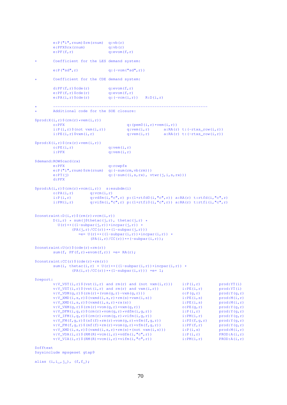```
e: P("i", rnum)$rm(rnum) q:vb(r)
           e:PFX$rx(rnum) q:vb(r)e:PF(f,r) q:evom(f,r)
          Coefficient for the LES demand system:
           e:P("sd",r) q:(-vom("sd",r))
          Coefficient for the CDE demand system:
           d:PF(f,r) Scde(r) q:evom(f,r)e:PF(f,r) \, \xi \, \text{cde}(r) q:evom(f,r)<br>e:PA(i,r) \, \xi \, \text{cde}(r) q:(-v \, \text{cm}(i,r))q:(-vcm(i,r)) R:D(i,r)
* -------------------------------------------------------------------
           Additional code for the SOE closure:
$prod:X(i,r)$ $(rm(r)*vem(i,r))$<br>o:PFX
           o:PFX q: (pem0(i, r) * vem(i, r))<br>i:P(i,r)$(not vxm(i,r)) q: vem(i, r) a:RA(r)
            i:P(i,r)$(not vxm(i,r)) q:vem(i,r) a:RA(r) t:(-rtxs_row(i,r))
            i:PE(i,r)$vxm(i,r) q:vem(i,r) a:RA(r) t:(-rtxs_row(i,r))
$prod:X(i,r)$ $ (rx(r)*vem(i,r))$<br>o:PE(i,r)q: vem(i,r)i:PFX q:vem(i,r)
$demand:ROW$card(rx)
           e:PFX q:rowpfx
           e:P("i",rnum)$rm(rnum) q:(-\text{sum}(r_m,v_b(r_m)))<br>e:PT(i) q:(-\text{sum}((i,s,r_x),v_s)q: (-sum((i,s,rx), vtur(j,i,s,rx)))d:PFX
$prod:A(i,r)$ {rm(r)}*vcm(i,r) s:esubdm(i)
          o:PA(i,r) q:vcm(i,r)<br>i:P(i,r) q:vdfm(i,"o
                                 q:vdfm(i,"c",r) p:(1+rtfd0(i,"c",r)) a:RA(r) t:rtfd(i,"c",r)
           i:PM(i,r) q:vifm(i,"c",r) p:(1+rtfi0(i,"c",r)) a:RA(r) t:rtfi(i,"c",r)
\text{Sconstraint:}D(i,r) \text{S}(rm(r)*vcm(i,r))D(i,r) * sum(j$thetac(j,r), thetac(j,r) *
              U(r)**((1-subpar(j,r))*incpar(j,r)) *
                       (\overrightarrow{PA(j,r)}/CC(r))**(1-subpar(j,r)))= = U(r) * * ((1-subpar(i,r)) * incpar(i,r)) *(PA(i,r)/CC(r))**(-subpar(i,r));% constant:U(r) % ( cde(r) *rm(r))
          sum(f, PF(f,r)*evom(f,r)) = e= RA(r);
\text{Sconstraint:CC}(r) \ (cde(r) \text{rm}(r))
           sum(i, thetac(i,r) * U(r)**((1-subpar(i,r))*incpar(i,r)) *
                      (PA(i, r) / CC(r)) ** (1-subpar(i, r)) = e= 1;
$report:
           v:V_VST(i,r)$(vst(i,r) and rm(r) and (not vxm(i,r))) i:P(i,r) prod:YT(i)<br>v:V_VST(i,r)$(vst(i,r) and rm(r) and vxm(i,r)) i:PE(i,r) prod:YT(i)<br>v:V_VDM(q,r)$(rm(r)*(vom(q,r)-vxm(q,r))) o:P(q,r) prod:Y(q,r)
           v:V_VST(i,r)$(vst(i,r) and rm(r) and vxm(i,r)) i:PE(i,r)
           v:V_VDM(g,r)$(rm(r)*(vom(g,r)-vxm(g,r))) o:P(g,r) prod:Y(g,r)<br>v:V_XMD(i,s,r)$(vxmd(i,s,r)*rm(s)*vxm(i,s)) i:PE(i,s) prod:M(i,r)
           v:V_XMD(i,s,r)$(vxmd(i,s,r)*rm(s)*vxm(i,s)) i:PE(i,s) prod:M(i,r)<br>v:V_XMD(i,s,r)$(vxmd(i,s,r)*rx(s)) i:PE(i,s) prod:M(i,r)
           v:V_XMD(i,s,r)$(vxmd(i,s,r)*rx(s)) i:PE(i,s) prod:M(i,r)<br>v:V_VXM(q,r)$(rm(r)*vom(q,r)*vxm(q,r)) o:PE(q,r) prod:Y(q,r)
           v:V_VVM(q, r)$(rm(r)*vom(g,r)*vxm(g,r)) o:PE(g,r) prod:Y(g,r)<br>v:V_DFM(i,q,r)$(rm(r)*vom(g,r)*vdfm(i,q,r)) i:P(i,r) prod:Y(q,r)
           v:V_DFM(i,g,r)$(rm(r)*vom(g,r)*vdfm(i,g,r)) i:P(i,r) prod:Y(g,r)<br>v:V_IFM(i,g,r)$(rm(r)*vom(g,r)*vifm(i,g,r)) i:PM(i,r) prod:Y(g,r)<br>v:V_FM(f,g,r)$(sf(f)*rm(r)*vom(g,r)*vfm(f,g,r)) i:PS(f,g,r) prod:Y(g,r)
           v:V_IFM(i,q,r)$(rm(r)*vom(g,r)*vifm(i,g,r) i:PM(i,r) prod:Y(g,r)<br>v:V_IFM(f,q,r)$(sf(f)*rm(r)*vom(g,r)*vfm(f,g,r) i:PS(f,g,r) prod:Y(g,r)
           \begin{array}{llll} \texttt{v:V\_FM}(f,g,r) \texttt{S}(sf(f)*rm(r)*vom(g,r)*vfm(f,g,r)) & \texttt{i:PS}(f,g,r) & \texttt{prod}(f,g,r) \\ \texttt{v:V\_FM}(f,g,r) \texttt{S}(mf(f)*rm(r)*vom(g,r)*vfm(f,g,r)) & \texttt{i:PF}(f,r) & \texttt{prod}(f,g,r) \\ \texttt{v:V\_XMD}(i,s,r) \texttt{S}(vxm(i,s,r)*rm(s)*(not vxm(i,s))) & \texttt{i:P}(i,s) & \texttt{prod}(i,r) \\ \texttt{v:V\_VDA}(i,r) \texttt{S}(RM(R)*vcm(i,r)*vdm(i,rv:V_FM(f,g,r)$(mf(f)*rm(r)*vom(g,r)*vfm(f,g,r)) i:PF(f,r) prod:Y(g,r)<br>v:V_XMD(i,s,r)$(vxmd(i,s,r)*rm(s)*(not vxm(i,s))) i:P(i,s) prod:M(i,r)<br>v:V_VDA(i,r)$(RM(R)*vcm(i,r)*vdfm(i,"c",r)) i:P(i,r) PROD:A(i,r)
           v:V_XMD(i,s,r)$(vxmd(i,s,r)*rm(s)*(not vxm(i,s)))
           v:V_VDA(i,r)$(RM(R)*vcm(i,r)*vdfm(i,"c",r)) i:P(i,r) PROD:A(i,r)<br>v:V_VIA(i,r)$(RM(R)*vcm(i,r)*vifm(i,"c",r)) i:PM(i,r) PROD:A(i,r)
           v:V_VIA(i,r)$(RM(R)*vcm(i,r)*vifm(i,"c",r))
```
\$offtext \$sysinclude mpsgeset gtap9

alias  $(i, i_-, j_-)$ ,  $(f, f_-)$ ;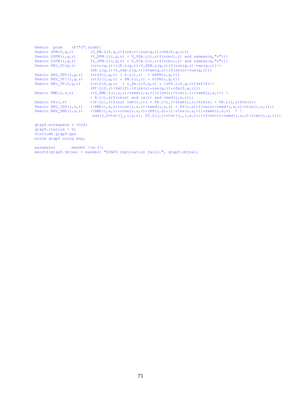|           | $$macro$ pnum $(P("c", run))$                                                                                                                                                                                                                                                                                       |                                                                                                                                                               |
|-----------|---------------------------------------------------------------------------------------------------------------------------------------------------------------------------------------------------------------------------------------------------------------------------------------------------------------------|---------------------------------------------------------------------------------------------------------------------------------------------------------------|
|           |                                                                                                                                                                                                                                                                                                                     | $\text{Smacro DFM}(f, q, r)$ (V_FM, L(f, q, r) $\text{S}(rm(r) * vom(q, r) * vfm(f, q, r)))$                                                                  |
|           |                                                                                                                                                                                                                                                                                                                     | \$macro DDFM(i, g, r) $(V_PFM.L(i,q,r) + V_VDA.L(i,r)$ \$(vcm(i, r) and sameas(g, "c")))                                                                      |
|           | $$macro$ DIFM $(i, q, r)$                                                                                                                                                                                                                                                                                           | $(V_IFM.L(i,q,r) + V_VIA.L(i,r)$ \$ (vcm (i, r) and sameas (q, "c")))                                                                                         |
|           | $$macro REV_TO(q,r)$                                                                                                                                                                                                                                                                                                | $((rto(q, r) * ((P.L(q, r) * V_VW.L(q, r)) \$ (vom $(q, r) - vxm(q, r)) + \$                                                                                  |
|           |                                                                                                                                                                                                                                                                                                                     | $(PE.L(q, r) * v_v xm.L(q, r))$ $\forall xm(q, r))$ $\exists (rm(r) * vom(q, r))$                                                                             |
|           | $$macro REV_TFD(i,q,r)$                                                                                                                                                                                                                                                                                             | $(rtfd(i,q,r) * P.L(i,r) * DDFM(i,q,r))$                                                                                                                      |
|           | $$macro REV_TFI(i,q,r)$                                                                                                                                                                                                                                                                                             | $(rtfi(i,q,r) * PM.L(i,r) * DIFM(i,q,r))$                                                                                                                     |
|           | $$macro REV_TF(f,q,r)$                                                                                                                                                                                                                                                                                              | $((rtf(f,q,r) \times v_fm.L(f,q,r) \times ((PS.L(f,q,r))\$ sf(f)+                                                                                             |
|           |                                                                                                                                                                                                                                                                                                                     | $(PF.L(f,r))$ \$mf $(f))$ )\$(rm(r)*vom(q,r)*vfm(f,q,r)))                                                                                                     |
|           | $\frac{1}{2}$ $\frac{1}{2}$ $\frac{1}{2}$ $\frac{1}{2}$ $\frac{1}{2}$ $\frac{1}{2}$ $\frac{1}{2}$ $\frac{1}{2}$ $\frac{1}{2}$ $\frac{1}{2}$ $\frac{1}{2}$ $\frac{1}{2}$ $\frac{1}{2}$ $\frac{1}{2}$ $\frac{1}{2}$ $\frac{1}{2}$ $\frac{1}{2}$ $\frac{1}{2}$ $\frac{1}{2}$ $\frac{1}{2}$ $\frac{1}{2}$ $\frac{1}{2}$ | $((V_XMD.L(i,s,r)/vxm(d,s,r))\$ $(rm(r)*vim(i,r)*vxm(i,s,r))$                                                                                                 |
|           |                                                                                                                                                                                                                                                                                                                     | $+ X.L(i,s)$ \$ (rm(s) and rx(r) and vxmd(i, s, r)))                                                                                                          |
|           | $$macro$ $PX(i, r)$                                                                                                                                                                                                                                                                                                 | $((P.L(i,r) \S (not xxm(i,r)) + PE.L(i,r) \S xxm(i,r)) \S r xr(r) + PE.L(i,r) \S rx(r))$                                                                      |
|           | \$macro REV_TXS(i,s,r)                                                                                                                                                                                                                                                                                              | $((\text{XMD}(i,s,r)\star \text{rtxs}(i,s,r)\star \text{vxmd}(i,s,r)\star \text{PX}(i,s))\$ $(\text{rm}(s)\star \text{vxmd}(i,s,r)\star \text{rtxs}(i,s,r)))$ |
|           | \$macro REV_TMS(i,s,r)                                                                                                                                                                                                                                                                                              | $((XMD(i,s,r) * r) * rTms(i,s,r) * (PX(i,s) * (1-rtxs(i,s,r)) * vxm(i,s,r)) + \$                                                                              |
|           |                                                                                                                                                                                                                                                                                                                     | $sum(j_i, \text{stv}(\text{j}_i, \text{i}, s, r), PT.L(j_i) * vtwr(j_i, \text{i}, s, r)))$ $(\text{rm}(r) * vxdv(i, s, r) * rts(i, s, r)))$                   |
|           | $qtap9.workspace = 1024;$                                                                                                                                                                                                                                                                                           |                                                                                                                                                               |
|           | $qtap9.iterlim = 0;$                                                                                                                                                                                                                                                                                                |                                                                                                                                                               |
|           | \$include qtap9.qen                                                                                                                                                                                                                                                                                                 |                                                                                                                                                               |
|           | solve qtap9 using mcp;                                                                                                                                                                                                                                                                                              |                                                                                                                                                               |
| parameter | $maxdev / le-3/$ ;                                                                                                                                                                                                                                                                                                  |                                                                                                                                                               |

abort\$(gtap9.objval > maxdev) "GTAP9 replication fails.", gtap9.objval;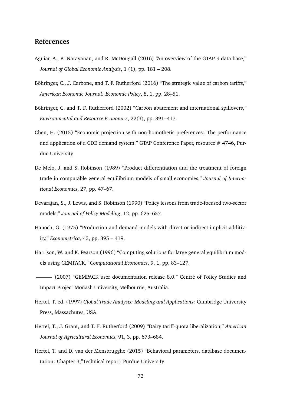## **References**

- Aguiar, A., B. Narayanan, and R. McDougall (2016) "An overview of the GTAP 9 data base," *Journal of Global Economic Analysis*, 1 (1), pp. 181 – 208.
- Böhringer, C., J. Carbone, and T. F. Rutherford (2016) "The strategic value of carbon tariffs," *American Economic Journal: Economic Policy*, 8, 1, pp. 28–51.
- Böhringer, C. and T. F. Rutherford (2002) "Carbon abatement and international spillovers," *Environmental and Resource Economics*, 22(3), pp. 391–417.
- Chen, H. (2015) "Economic projection with non-homothetic preferences: The performance and application of a CDE demand system." GTAP Conference Paper, resource # 4746, Purdue University.
- De Melo, J. and S. Robinson (1989) "Product differentiation and the treatment of foreign trade in computable general equilibrium models of small economies," *Journal of International Economics*, 27, pp. 47–67.
- Devarajan, S., J. Lewis, and S. Robinson (1990) "Policy lessons from trade-focused two-sector models," *Journal of Policy Modeling*, 12, pp. 625–657.
- Hanoch, G. (1975) "Production and demand models with direct or indirect implicit additivity," *Econometrica*, 43, pp. 395 – 419.
- Harrison, W. and K. Pearson (1996) "Computing solutions for large general equilibrium models using GEMPACK," *Computational Economics*, 9, 1, pp. 83–127.

- Hertel, T. ed. (1997) *Global Trade Analysis: Modeling and Applications*: Cambridge University Press, Massachutes, USA.
- Hertel, T., J. Grant, and T. F. Rutherford (2009) "Dairy tariff-quota liberalization," *American Journal of Agricultural Economics*, 91, 3, pp. 673–684.
- Hertel, T. and D. van der Mensbrugghe (2015) "Behavioral parameters. database documentation: Chapter 3,"Technical report, Purdue University.

<sup>(2007) &</sup>quot;GEMPACK user documentation release 8.0." Centre of Policy Studies and Impact Project Monash University, Melbourne, Australia.